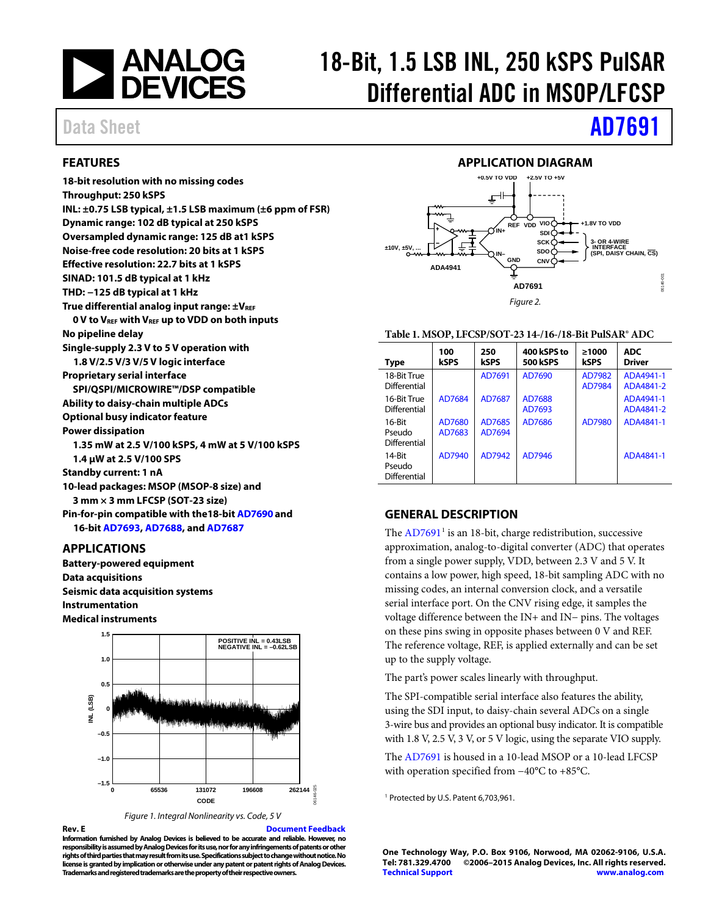

# 18-Bit, 1.5 LSB INL, 250 kSPS PulSAR Differential ADC in MSOP/LFCSP

# Data Sheet **[AD7691](http://www.analog.com/AD7691?doc=AD7691.pdf)**

### <span id="page-0-0"></span>**FEATURES**

**18-bit resolution with no missing codes Throughput: 250 kSPS INL: ±0.75 LSB typical, ±1.5 LSB maximum (±6 ppm of FSR) Dynamic range: 102 dB typical at 250 kSPS Oversampled dynamic range: 125 dB at1 kSPS Noise-free code resolution: 20 bits at 1 kSPS Effective resolution: 22.7 bits at 1 kSPS SINAD: 101.5 dB typical at 1 kHz THD: −125 dB typical at 1 kHz**  True differential analog input range:  $\pm V_{REF}$ **0 V to VREF with VREF up to VDD on both inputs No pipeline delay Single-supply 2.3 V to 5 V operation with 1.8 V/2.5 V/3 V/5 V logic interface Proprietary serial interface SPI/QSPI/MICROWIRE™/DSP compatible Ability to daisy-chain multiple ADCs Optional busy indicator feature Power dissipation 1.35 mW at 2.5 V/100 kSPS, 4 mW at 5 V/100 kSPS 1.4 µW at 2.5 V/100 SPS Standby current: 1 nA 10-lead packages: MSOP (MSOP-8 size) and 3 mm × 3 mm LFCSP (SOT-23 size) Pin-for-pin compatible with the18-bi[t AD7690](http://www.analog.com/AD7690?doc=AD7691.pdf) and 16-bi[t AD7693,](http://www.analog.com/AD7693?doc=AD7691.pdf) [AD7688,](http://www.analog.com/AD7688?doc=AD7691.pdf) an[d AD7687](http://www.analog.com/AD7687?doc=AD7691.pdf)**

### <span id="page-0-1"></span>**APPLICATIONS**

**Battery-powered equipment Data acquisitions Seismic data acquisition systems Instrumentation Medical instruments**





**Rev. E [Document Feedback](https://form.analog.com/Form_Pages/feedback/documentfeedback.aspx?doc=AD7691.pdf&product=AD7691&rev=E)**

**Information furnished by Analog Devices is believed to be accurate and reliable. However, no responsibility is assumed by Analog Devices for its use, nor for any infringements of patents or other rights of third parties that may result from its use. Specifications subject to change without notice. No license is granted by implication or otherwise under any patent or patent rights of Analog Devices. Trademarks and registered trademarks are the property of their respective owners.**

#### **APPLICATION DIAGRAM**

<span id="page-0-2"></span>

#### **Table 1. MSOP, LFCSP/SOT-23 14-/16-/18-Bit PulSAR® ADC**

| <b>Type</b>                      | 100<br>kSPS      | 250<br><b>kSPS</b> | 400 kSPS to<br><b>500 kSPS</b> | >1000<br><b>kSPS</b> | <b>ADC</b><br><b>Driver</b> |
|----------------------------------|------------------|--------------------|--------------------------------|----------------------|-----------------------------|
| 18-Bit True<br>Differential      |                  | AD7691             | AD7690                         | AD7982<br>AD7984     | ADA4941-1<br>ADA4841-2      |
| 16-Bit True<br>Differential      | AD7684           | AD7687             | AD7688<br>AD7693               |                      | ADA4941-1<br>ADA4841-2      |
| 16-Bit<br>Pseudo<br>Differential | AD7680<br>AD7683 | AD7685<br>AD7694   | AD7686                         | AD7980               | ADA4841-1                   |
| 14-Bit<br>Pseudo<br>Differential | AD7940           | AD7942             | AD7946                         |                      | ADA4841-1                   |

## <span id="page-0-3"></span>**GENERAL DESCRIPTION**

The  $AD7691<sup>1</sup>$  is an 18-bit, charge redistribution, successive approximation, analog-to-digital converter (ADC) that operates from a single power supply, VDD, between 2.3 V and 5 V. It contains a low power, high speed, 18-bit sampling ADC with no missing codes, an internal conversion clock, and a versatile serial interface port. On the CNV rising edge, it samples the voltage difference between the IN+ and IN− pins. The voltages on these pins swing in opposite phases between 0 V and REF. The reference voltage, REF, is applied externally and can be set up to the supply voltage.

The part's power scales linearly with throughput.

The SPI-compatible serial interface also features the ability, using the SDI input, to daisy-chain several ADCs on a single 3-wire bus and provides an optional busy indicator. It is compatible with 1.8 V, 2.5 V, 3 V, or 5 V logic, using the separate VIO supply.

The [AD7691](http://www.analog.com/AD7691?doc=AD7691.pdf) is housed in a 10-lead MSOP or a 10-lead LFCSP with operation specified from −40°C to +85°C.

<sup>1</sup> Protected by U.S. Patent 6,703,961.

**One Technology Way, P.O. Box 9106, Norwood, MA 02062-9106, U.S.A. Tel: 781.329.4700 ©2006–2015 Analog Devices, Inc. All rights reserved. [Technical Support](http://www.analog.com/en/content/technical_support_page/fca.html) [www.analog.com](http://www.analog.com/)**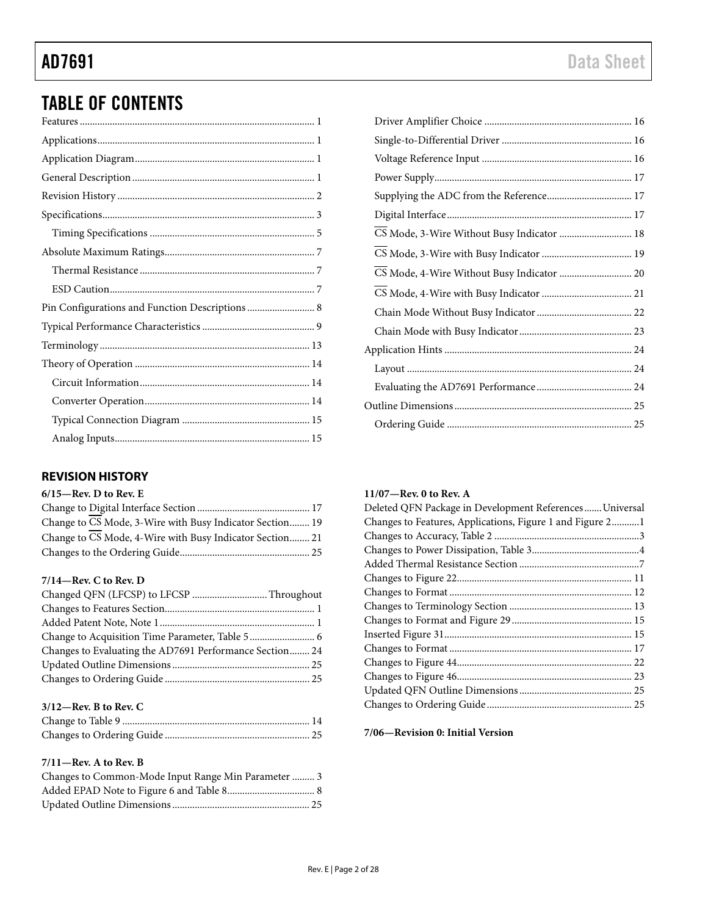# TABLE OF CONTENTS

## <span id="page-1-0"></span>**REVISION HISTORY**

| $6/15$ —Rev. D to Rev. E                                 |
|----------------------------------------------------------|
|                                                          |
| Change to CS Mode, 3-Wire with Busy Indicator Section 19 |
| Change to CS Mode, 4-Wire with Busy Indicator Section 21 |
|                                                          |

## **7/14—Rev. C to Rev. D**

| Changed QFN (LFCSP) to LFCSP  Throughout                |  |
|---------------------------------------------------------|--|
|                                                         |  |
|                                                         |  |
|                                                         |  |
| Changes to Evaluating the AD7691 Performance Section 24 |  |
|                                                         |  |
|                                                         |  |

## **3/12—Rev. B to Rev. C**

### **7/11—Rev. A to Rev. B**

| Changes to Common-Mode Input Range Min Parameter  3 |  |
|-----------------------------------------------------|--|
|                                                     |  |
|                                                     |  |

| CS Mode, 3-Wire Without Busy Indicator  18 |  |
|--------------------------------------------|--|
|                                            |  |
|                                            |  |
|                                            |  |
|                                            |  |
|                                            |  |
|                                            |  |
|                                            |  |
|                                            |  |
|                                            |  |
|                                            |  |

## **11/07—Rev. 0 to Rev. A**

| Deleted QFN Package in Development References Universal   |
|-----------------------------------------------------------|
| Changes to Features, Applications, Figure 1 and Figure 21 |
|                                                           |
|                                                           |
|                                                           |
|                                                           |
|                                                           |
|                                                           |
|                                                           |
|                                                           |
|                                                           |
|                                                           |
|                                                           |
|                                                           |
|                                                           |

**7/06—Revision 0: Initial Version**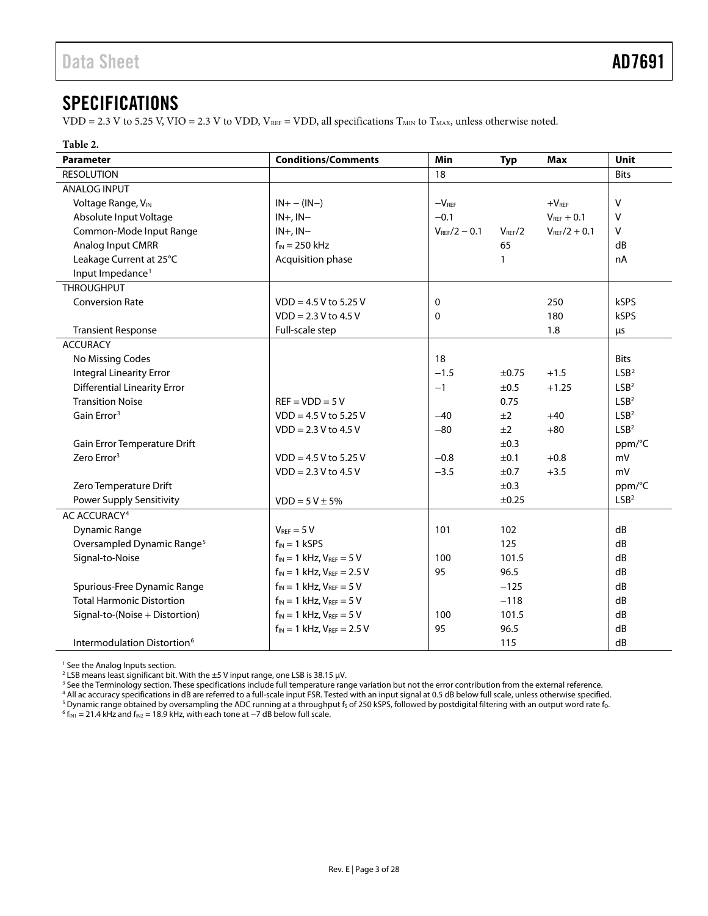# <span id="page-2-0"></span>SPECIFICATIONS

VDD = 2.3 V to 5.25 V, VIO = 2.3 V to VDD,  $V_{REF}$  = VDD, all specifications  $T_{MIN}$  to  $T_{MAX}$ , unless otherwise noted.

#### **Table 2.**

| <b>Parameter</b>                        | <b>Conditions/Comments</b>          | Min                      | <b>Typ</b>         | <b>Max</b>        | Unit             |
|-----------------------------------------|-------------------------------------|--------------------------|--------------------|-------------------|------------------|
| <b>RESOLUTION</b>                       |                                     | 18                       |                    |                   | <b>Bits</b>      |
| <b>ANALOG INPUT</b>                     |                                     |                          |                    |                   |                  |
| Voltage Range, VIN                      | $IN + - (IN -)$                     | $-V_{\text{REF}}$        |                    | $+VREF$           | $\vee$           |
| Absolute Input Voltage                  | $IN+$ , $IN-$                       | $-0.1$                   |                    | $V_{REF} + 0.1$   | v                |
| Common-Mode Input Range                 | $IN+$ , $IN-$                       | $V_{\text{RFE}}/2 - 0.1$ | $V_{\text{REF}}/2$ | $V_{REF}/2 + 0.1$ | v                |
| Analog Input CMRR                       | $f_{IN}$ = 250 kHz                  |                          | 65                 |                   | dB               |
| Leakage Current at 25°C                 | Acquisition phase                   |                          | 1                  |                   | nA               |
| Input Impedance <sup>1</sup>            |                                     |                          |                    |                   |                  |
| <b>THROUGHPUT</b>                       |                                     |                          |                    |                   |                  |
| <b>Conversion Rate</b>                  | $VDD = 4.5 V$ to 5.25 V             | 0                        |                    | 250               | kSPS             |
|                                         | $VDD = 2.3 V to 4.5 V$              | 0                        |                    | 180               | kSPS             |
| <b>Transient Response</b>               | Full-scale step                     |                          |                    | 1.8               | μs               |
| <b>ACCURACY</b>                         |                                     |                          |                    |                   |                  |
| No Missing Codes                        |                                     | 18                       |                    |                   | <b>Bits</b>      |
| <b>Integral Linearity Error</b>         |                                     | $-1.5$                   | ±0.75              | $+1.5$            | LSB <sup>2</sup> |
| <b>Differential Linearity Error</b>     |                                     | $-1$                     | ±0.5               | $+1.25$           | LSB <sup>2</sup> |
| <b>Transition Noise</b>                 | $REF = VDD = 5V$                    |                          | 0.75               |                   | LSB <sup>2</sup> |
| Gain Error <sup>3</sup>                 | $VDD = 4.5 V$ to 5.25 V             | $-40$                    | ±2                 | $+40$             | LSB <sup>2</sup> |
|                                         | $VDD = 2.3 V to 4.5 V$              | $-80$                    | ±2                 | $+80$             | LSB <sup>2</sup> |
| Gain Error Temperature Drift            |                                     |                          | ±0.3               |                   | ppm/°C           |
| Zero Error <sup>3</sup>                 | $VDD = 4.5 V$ to 5.25 V             | $-0.8$                   | ±0.1               | $+0.8$            | mV               |
|                                         | $VDD = 2.3 V to 4.5 V$              | $-3.5$                   | ±0.7               | $+3.5$            | mV               |
| Zero Temperature Drift                  |                                     |                          | ±0.3               |                   | ppm/°C           |
| Power Supply Sensitivity                | $VDD = 5 V \pm 5%$                  |                          | ±0.25              |                   | LSB <sup>2</sup> |
| AC ACCURACY <sup>4</sup>                |                                     |                          |                    |                   |                  |
| Dynamic Range                           | $V_{REF} = 5 V$                     | 101                      | 102                |                   | dB               |
| Oversampled Dynamic Range <sup>5</sup>  | $f_{IN} = 1$ kSPS                   |                          | 125                |                   | dB               |
| Signal-to-Noise                         | $f_{IN} = 1$ kHz, $V_{REF} = 5$ V   | 100                      | 101.5              |                   | dB               |
|                                         | $f_{IN} = 1$ kHz, $V_{REF} = 2.5$ V | 95                       | 96.5               |                   | dB               |
| Spurious-Free Dynamic Range             | $f_{IN} = 1$ kHz, $V_{REF} = 5$ V   |                          | $-125$             |                   | dB               |
| <b>Total Harmonic Distortion</b>        | $f_{IN} = 1$ kHz, $V_{REF} = 5$ V   |                          | $-118$             |                   | dB               |
| Signal-to-(Noise + Distortion)          | $f_{IN} = 1$ kHz, $V_{REF} = 5$ V   | 100                      | 101.5              |                   | dB               |
|                                         | $f_{IN} = 1$ kHz, $V_{REF} = 2.5$ V | 95                       | 96.5               |                   | dB               |
| Intermodulation Distortion <sup>6</sup> |                                     |                          | 115                |                   | dB               |

<sup>1</sup> See th[e Analog Inputs](#page-14-1) section.

 $^2$  LSB means least significant bit. With the  $\pm 5$  V input range, one LSB is 38.15  $\mu$ V.

 $3$  See th[e Terminology](#page-12-0) section. These specifications include full temperature range variation but not the error contribution from the external reference.

<sup>4</sup> All ac accuracy specifications in dB are referred to a full-scale input FSR. Tested with an input signal at 0.5 dB below full scale, unless otherwise specified. <sup>5</sup> Dynamic range obtained by oversampling the ADC running at a throughput fs of 250 kSPS, followed by postdigital filtering with an output word rate fo.

 $6 f_{\text{IN1}} = 21.4 \text{ kHz}$  and  $f_{\text{IN2}} = 18.9 \text{ kHz}$ , with each tone at -7 dB below full scale.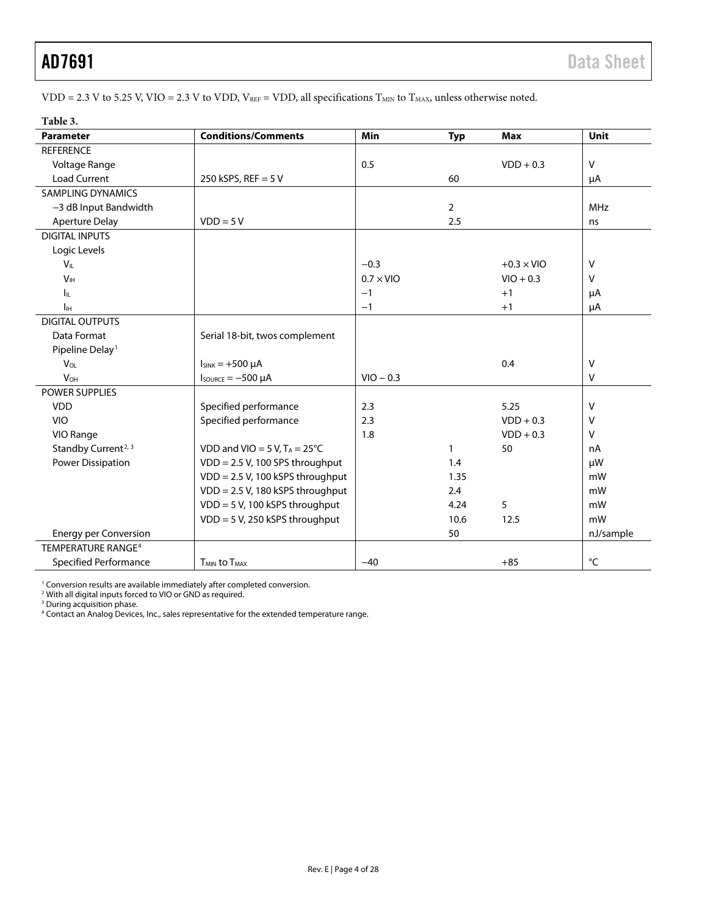VDD = 2.3 V to 5.25 V, VIO = 2.3 V to VDD,  $V_{REF}$  = VDD, all specifications  $T_{MIN}$  to  $T_{MAX}$ , unless otherwise noted.

| Table 3.                        |                                        |                  |              |                   |              |
|---------------------------------|----------------------------------------|------------------|--------------|-------------------|--------------|
| <b>Parameter</b>                | <b>Conditions/Comments</b>             | Min              | <b>Typ</b>   | <b>Max</b>        | Unit         |
| <b>REFERENCE</b>                |                                        |                  |              |                   |              |
| Voltage Range                   |                                        | 0.5              |              | $VDD + 0.3$       | V            |
| <b>Load Current</b>             | 250 kSPS, REF = $5V$                   |                  | 60           |                   | μA           |
| <b>SAMPLING DYNAMICS</b>        |                                        |                  |              |                   |              |
| -3 dB Input Bandwidth           |                                        |                  | 2            |                   | <b>MHz</b>   |
| <b>Aperture Delay</b>           | $VDD = 5V$                             |                  | 2.5          |                   | ns           |
| <b>DIGITAL INPUTS</b>           |                                        |                  |              |                   |              |
| Logic Levels                    |                                        |                  |              |                   |              |
| $V_{\text{IL}}$                 |                                        | $-0.3$           |              | $+0.3 \times$ VIO | v            |
| V <sub>IH</sub>                 |                                        | $0.7 \times$ VIO |              | $VIO + 0.3$       | v            |
| Iц.                             |                                        | $-1$             |              | $+1$              | μA           |
| Iн                              |                                        | $-1$             |              | $+1$              | μA           |
| <b>DIGITAL OUTPUTS</b>          |                                        |                  |              |                   |              |
| Data Format                     | Serial 18-bit, twos complement         |                  |              |                   |              |
| Pipeline Delay <sup>1</sup>     |                                        |                  |              |                   |              |
| $V_{OL}$                        | $I_{SINK} = +500 \mu A$                |                  |              | 0.4               | $\vee$       |
| <b>V<sub>OH</sub></b>           | $I_{\text{SOWRCE}} = -500 \mu A$       | $VIO - 0.3$      |              |                   | $\vee$       |
| POWER SUPPLIES                  |                                        |                  |              |                   |              |
| <b>VDD</b>                      | Specified performance                  | 2.3              |              | 5.25              | v            |
| <b>VIO</b>                      | Specified performance                  | 2.3              |              | $VDD + 0.3$       | v            |
| VIO Range                       |                                        | 1.8              |              | $VDD + 0.3$       | v            |
| Standby Current <sup>2, 3</sup> | VDD and VIO = 5 V, $T_A = 25^{\circ}C$ |                  | $\mathbf{1}$ | 50                | nA           |
| Power Dissipation               | VDD = 2.5 V, 100 SPS throughput        |                  | 1.4          |                   | μW           |
|                                 | VDD = 2.5 V, 100 kSPS throughput       |                  | 1.35         |                   | mW           |
|                                 | VDD = 2.5 V, 180 kSPS throughput       |                  | 2.4          |                   | mW           |
|                                 | VDD = 5 V, 100 kSPS throughput         |                  | 4.24         | 5                 | mW           |
|                                 | VDD = 5 V, 250 kSPS throughput         |                  | 10.6         | 12.5              | mW           |
| <b>Energy per Conversion</b>    |                                        |                  | 50           |                   | nJ/sample    |
| TEMPERATURE RANGE <sup>4</sup>  |                                        |                  |              |                   |              |
| Specified Performance           | <b>TMIN to TMAX</b>                    | $-40$            |              | $+85$             | $^{\circ}$ C |

<sup>1</sup> Conversion results are available immediately after completed conversion.<br><sup>2</sup> With all digital inputs forced to VIO or GND as required.

<sup>3</sup> During acquisition phase.

<sup>4</sup> Contact an Analog Devices, Inc., sales representative for the extended temperature range.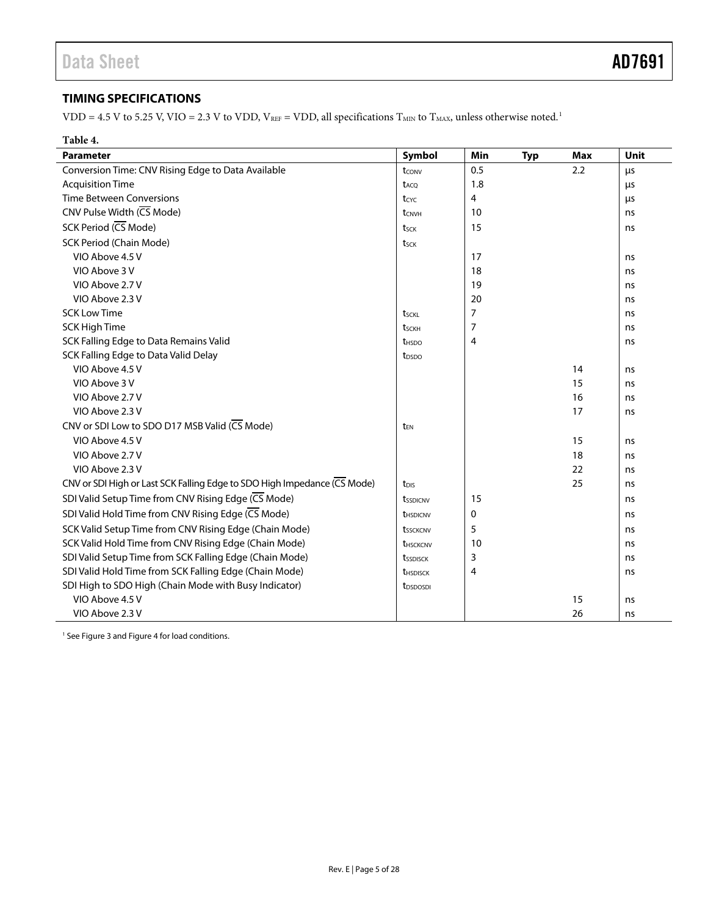# <span id="page-4-0"></span>**TIMING SPECIFICATIONS**

VDD = 4.5 V to 5.25 V, VIO = 2.3 V to VDD,  $V_{REF}$  = VDD, all specifications  $T_{MIN}$  to  $T_{MAX}$ , unless otherwise noted.<sup>1</sup>

| Table 4.                                                                 |                          |                |            |            |             |
|--------------------------------------------------------------------------|--------------------------|----------------|------------|------------|-------------|
| <b>Parameter</b>                                                         | Symbol                   | Min            | <b>Typ</b> | <b>Max</b> | <b>Unit</b> |
| Conversion Time: CNV Rising Edge to Data Available                       | tconv                    | 0.5            |            | 2.2        | μs          |
| <b>Acquisition Time</b>                                                  | t <sub>ACQ</sub>         | 1.8            |            |            | μs          |
| <b>Time Between Conversions</b>                                          | tcyc                     | 4              |            |            | $\mu$ s     |
| CNV Pulse Width (CS Mode)                                                | t <sub>CNVH</sub>        | 10             |            |            | ns          |
| SCK Period (CS Mode)                                                     | t <sub>SCK</sub>         | 15             |            |            | ns          |
| SCK Period (Chain Mode)                                                  | tsck                     |                |            |            |             |
| VIO Above 4.5 V                                                          |                          | 17             |            |            | ns          |
| VIO Above 3 V                                                            |                          | 18             |            |            | ns          |
| VIO Above 2.7 V                                                          |                          | 19             |            |            | ns          |
| VIO Above 2.3 V                                                          |                          | 20             |            |            | ns          |
| <b>SCK Low Time</b>                                                      | tsckl                    | $\overline{7}$ |            |            | ns          |
| <b>SCK High Time</b>                                                     | tsckh                    | $\overline{7}$ |            |            | ns          |
| SCK Falling Edge to Data Remains Valid                                   | <b>t</b> <sub>HSDO</sub> | 4              |            |            | ns          |
| SCK Falling Edge to Data Valid Delay                                     | t <sub>DSDO</sub>        |                |            |            |             |
| VIO Above 4.5 V                                                          |                          |                |            | 14         | ns          |
| VIO Above 3 V                                                            |                          |                |            | 15         | ns          |
| VIO Above 2.7 V                                                          |                          |                |            | 16         | ns          |
| VIO Above 2.3 V                                                          |                          |                |            | 17         | ns          |
| CNV or SDI Low to SDO D17 MSB Valid (CS Mode)                            | t <sub>FN</sub>          |                |            |            |             |
| VIO Above 4.5 V                                                          |                          |                |            | 15         | ns          |
| VIO Above 2.7 V                                                          |                          |                |            | 18         | ns          |
| VIO Above 2.3 V                                                          |                          |                |            | 22         | ns          |
| CNV or SDI High or Last SCK Falling Edge to SDO High Impedance (CS Mode) | t <sub>DIS</sub>         |                |            | 25         | ns          |
| SDI Valid Setup Time from CNV Rising Edge (CS Mode)                      | tsspicnv                 | 15             |            |            | ns          |
| SDI Valid Hold Time from CNV Rising Edge (CS Mode)                       | t <sub>HSDICNV</sub>     | 0              |            |            | ns          |
| SCK Valid Setup Time from CNV Rising Edge (Chain Mode)                   | tssckcnv                 | 5              |            |            | ns          |
| SCK Valid Hold Time from CNV Rising Edge (Chain Mode)                    | t <sub>HSCKCNV</sub>     | 10             |            |            | ns          |
| SDI Valid Setup Time from SCK Falling Edge (Chain Mode)                  | tssdisck                 | 3              |            |            | ns          |
| SDI Valid Hold Time from SCK Falling Edge (Chain Mode)                   | t <sub>HSDISCK</sub>     | 4              |            |            | ns          |
| SDI High to SDO High (Chain Mode with Busy Indicator)                    | t <sub>DSDOSDI</sub>     |                |            |            |             |
| VIO Above 4.5 V                                                          |                          |                |            | 15         | ns          |
| VIO Above 2.3 V                                                          |                          |                |            | 26         | ns          |

<sup>1</sup> Se[e Figure 3](#page-5-0) an[d Figure 4](#page-5-1) for load conditions.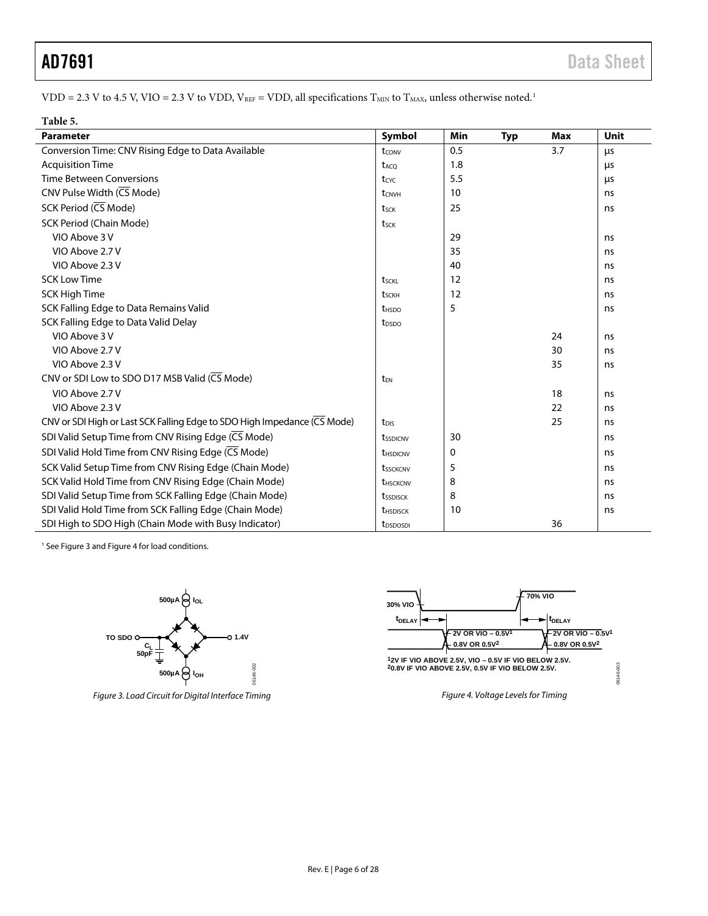VDD = 2.3 V to 4.5 V, VIO = 2.3 V to VDD,  $V_{REF}$  = VDD, all specifications  $T_{MIN}$  to  $T_{MAX}$ , unless otherwise noted.<sup>1</sup>

| Table 5.                                                                 |                        |     |            |     |      |
|--------------------------------------------------------------------------|------------------------|-----|------------|-----|------|
| <b>Parameter</b>                                                         | Symbol                 | Min | <b>Typ</b> | Max | Unit |
| Conversion Time: CNV Rising Edge to Data Available                       | tconv                  | 0.5 |            | 3.7 | μs   |
| <b>Acquisition Time</b>                                                  | t <sub>ACO</sub>       | 1.8 |            |     | μs   |
| <b>Time Between Conversions</b>                                          | tcyc                   | 5.5 |            |     | μs   |
| CNV Pulse Width (CS Mode)                                                | tCNVH                  | 10  |            |     | ns   |
| SCK Period $(\overline{\mathsf{CS}}\,\mathsf{Mode})$                     | tsck                   | 25  |            |     | ns   |
| SCK Period (Chain Mode)                                                  | t <sub>sck</sub>       |     |            |     |      |
| VIO Above 3 V                                                            |                        | 29  |            |     | ns   |
| VIO Above 2.7 V                                                          |                        | 35  |            |     | ns   |
| VIO Above 2.3 V                                                          |                        | 40  |            |     | ns   |
| <b>SCK Low Time</b>                                                      | t <sub>sckl</sub>      | 12  |            |     | ns   |
| SCK High Time                                                            | tsckh                  | 12  |            |     | ns   |
| SCK Falling Edge to Data Remains Valid                                   | t <sub>HSDO</sub>      | 5   |            |     | ns   |
| SCK Falling Edge to Data Valid Delay                                     | t <sub>DSDO</sub>      |     |            |     |      |
| VIO Above 3 V                                                            |                        |     |            | 24  | ns   |
| VIO Above 2.7 V                                                          |                        |     |            | 30  | ns   |
| VIO Above 2.3 V                                                          |                        |     |            | 35  | ns   |
| CNV or SDI Low to SDO D17 MSB Valid (CS Mode)                            | t <sub>EN</sub>        |     |            |     |      |
| VIO Above 2.7 V                                                          |                        |     |            | 18  | ns   |
| VIO Above 2.3 V                                                          |                        |     |            | 22  | ns   |
| CNV or SDI High or Last SCK Falling Edge to SDO High Impedance (CS Mode) | t <sub>DIS</sub>       |     |            | 25  | ns   |
| SDI Valid Setup Time from CNV Rising Edge (CS Mode)                      | tssdicnv               | 30  |            |     | ns   |
| SDI Valid Hold Time from CNV Rising Edge (CS Mode)                       | thSDICNV               | 0   |            |     | ns   |
| SCK Valid Setup Time from CNV Rising Edge (Chain Mode)                   | tssckcnv               | 5   |            |     | ns   |
| SCK Valid Hold Time from CNV Rising Edge (Chain Mode)                    | <b><i>UHSCKCNV</i></b> | 8   |            |     | ns   |
| SDI Valid Setup Time from SCK Falling Edge (Chain Mode)                  | tssdisck               | 8   |            |     | ns   |
| SDI Valid Hold Time from SCK Falling Edge (Chain Mode)                   | <b><i>UHSDISCK</i></b> | 10  |            |     | ns   |
| SDI High to SDO High (Chain Mode with Busy Indicator)                    | t <sub>DSDOSDI</sub>   |     |            | 36  |      |

<sup>1</sup> Se[e Figure 3](#page-5-0) an[d Figure 4](#page-5-1) for load conditions.



<span id="page-5-0"></span>*Figure 3. Load Circuit for Digital Interface Timing Figure 4. Voltage Levels for Timing*



<span id="page-5-1"></span>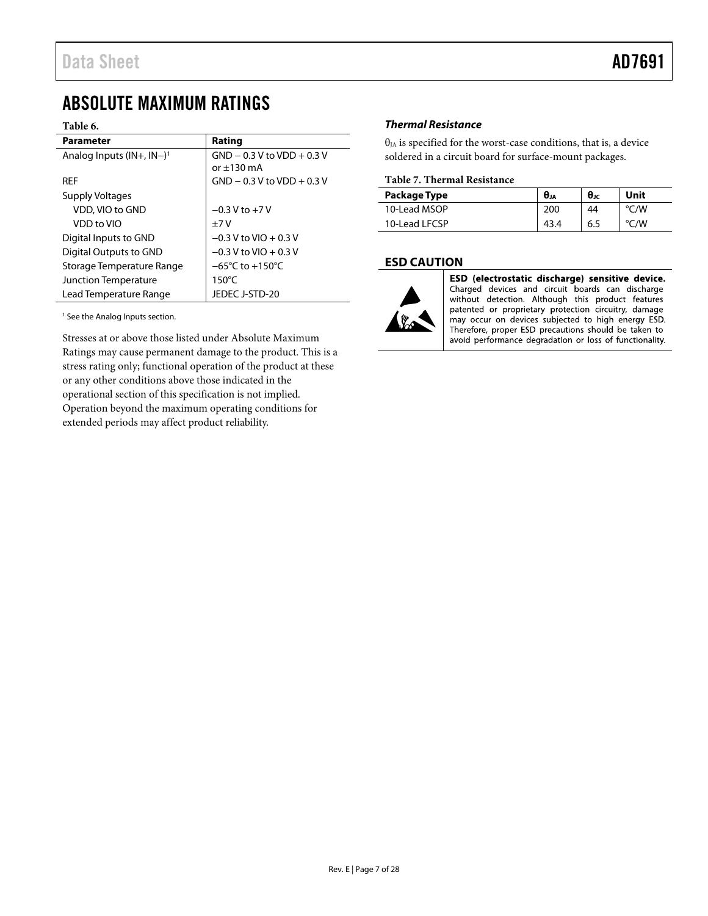# <span id="page-6-0"></span>ABSOLUTE MAXIMUM RATINGS

#### **Table 6.**

| <b>Parameter</b>                           | Rating                              |  |  |
|--------------------------------------------|-------------------------------------|--|--|
| Analog Inputs $(IN+$ , $IN-)$ <sup>1</sup> | $GND - 0.3 V$ to $VDD + 0.3 V$      |  |  |
|                                            | $or +130 \text{ mA}$                |  |  |
| <b>RFF</b>                                 | $GND - 0.3 V$ to $VDD + 0.3 V$      |  |  |
| Supply Voltages                            |                                     |  |  |
| VDD, VIO to GND                            | $-0.3$ V to $+7$ V                  |  |  |
| VDD to VIO                                 | $+7V$                               |  |  |
| Digital Inputs to GND                      | $-0.3$ V to VIO + 0.3 V             |  |  |
| Digital Outputs to GND                     | $-0.3$ V to VIO + 0.3 V             |  |  |
| Storage Temperature Range                  | $-65^{\circ}$ C to $+150^{\circ}$ C |  |  |
| Junction Temperature                       | $150^{\circ}$ C                     |  |  |
| Lead Temperature Range                     | JEDEC J-STD-20                      |  |  |

<sup>1</sup> See th[e Analog Inputs](#page-14-1) section.

Stresses at or above those listed under Absolute Maximum Ratings may cause permanent damage to the product. This is a stress rating only; functional operation of the product at these or any other conditions above those indicated in the operational section of this specification is not implied. Operation beyond the maximum operating conditions for extended periods may affect product reliability.

## <span id="page-6-1"></span>*Thermal Resistance*

 $\theta_{JA}$  is specified for the worst-case conditions, that is, a device soldered in a circuit board for surface-mount packages.

#### **Table 7. Thermal Resistance**

| Package Type  | $\theta_{JA}$ | $\theta$ Jc | Unit |
|---------------|---------------|-------------|------|
| 10-Lead MSOP  | 200           | 44          | °C/W |
| 10-Lead LFCSP |               | 6.5         | °C/W |

## <span id="page-6-2"></span>**ESD CAUTION**



ESD (electrostatic discharge) sensitive device. Charged devices and circuit boards can discharge without detection. Although this product features patented or proprietary protection circuitry, damage may occur on devices subjected to high energy ESD. Therefore, proper ESD precautions should be taken to avoid performance degradation or loss of functionality.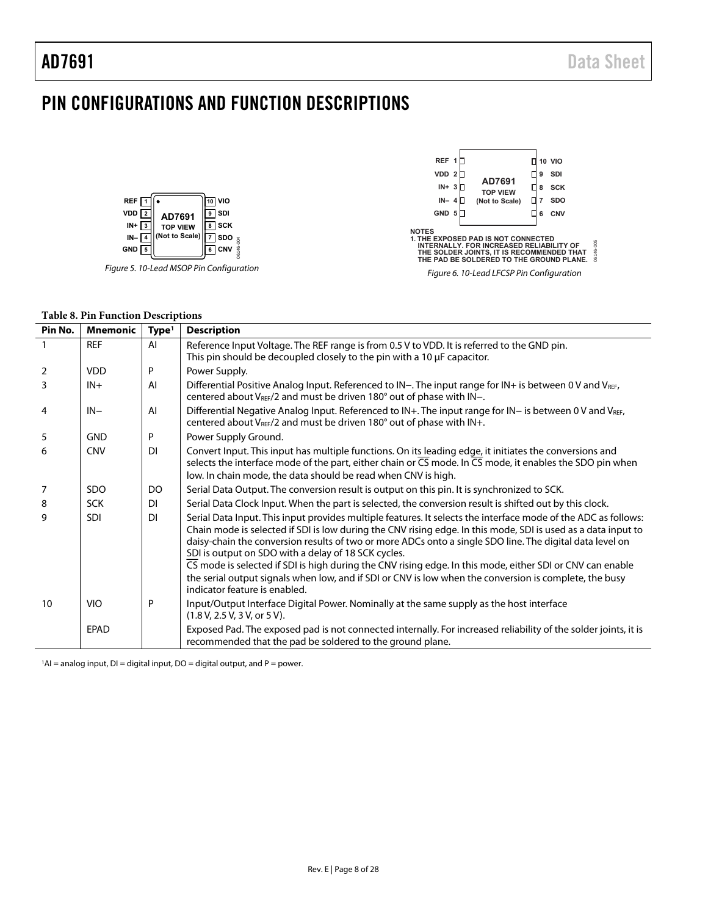# <span id="page-7-0"></span>PIN CONFIGURATIONS AND FUNCTION DESCRIPTIONS





#### **Table 8. Pin Function Descriptions**

| Pin No.        | <b>Mnemonic</b> | Type <sup>1</sup> | <b>Description</b>                                                                                                                                                                                                                                                                                                                                                                                 |
|----------------|-----------------|-------------------|----------------------------------------------------------------------------------------------------------------------------------------------------------------------------------------------------------------------------------------------------------------------------------------------------------------------------------------------------------------------------------------------------|
|                | <b>REF</b>      | AI                | Reference Input Voltage. The REF range is from 0.5 V to VDD. It is referred to the GND pin.<br>This pin should be decoupled closely to the pin with a 10 µF capacitor.                                                                                                                                                                                                                             |
| $\overline{2}$ | <b>VDD</b>      | P                 | Power Supply.                                                                                                                                                                                                                                                                                                                                                                                      |
| 3              | $IN +$          | AI                | Differential Positive Analog Input. Referenced to IN-. The input range for IN+ is between 0 V and VREF,<br>centered about V <sub>REF</sub> /2 and must be driven 180° out of phase with IN-.                                                                                                                                                                                                       |
| 4              | $IN-$           | AI                | Differential Negative Analog Input. Referenced to IN+. The input range for IN- is between 0 V and VREF,<br>centered about V <sub>REF</sub> /2 and must be driven 180° out of phase with IN+.                                                                                                                                                                                                       |
| 5              | <b>GND</b>      | P                 | Power Supply Ground.                                                                                                                                                                                                                                                                                                                                                                               |
| 6              | <b>CNV</b>      | <b>DI</b>         | Convert Input. This input has multiple functions. On its leading edge, it initiates the conversions and<br>selects the interface mode of the part, either chain or $\overline{CS}$ mode. In $\overline{CS}$ mode, it enables the SDO pin when<br>low. In chain mode, the data should be read when CNV is high.                                                                                     |
| 7              | <b>SDO</b>      | DO                | Serial Data Output. The conversion result is output on this pin. It is synchronized to SCK.                                                                                                                                                                                                                                                                                                        |
| 8              | <b>SCK</b>      | <b>DI</b>         | Serial Data Clock Input. When the part is selected, the conversion result is shifted out by this clock.                                                                                                                                                                                                                                                                                            |
| 9              | <b>SDI</b>      | <b>DI</b>         | Serial Data Input. This input provides multiple features. It selects the interface mode of the ADC as follows:<br>Chain mode is selected if SDI is low during the CNV rising edge. In this mode, SDI is used as a data input to<br>daisy-chain the conversion results of two or more ADCs onto a single SDO line. The digital data level on<br>SDI is output on SDO with a delay of 18 SCK cycles. |
|                |                 |                   | CS mode is selected if SDI is high during the CNV rising edge. In this mode, either SDI or CNV can enable<br>the serial output signals when low, and if SDI or CNV is low when the conversion is complete, the busy<br>indicator feature is enabled.                                                                                                                                               |
| 10             | <b>VIO</b>      | P                 | Input/Output Interface Digital Power. Nominally at the same supply as the host interface<br>(1.8 V, 2.5 V, 3 V, or 5 V).                                                                                                                                                                                                                                                                           |
|                | <b>EPAD</b>     |                   | Exposed Pad. The exposed pad is not connected internally. For increased reliability of the solder joints, it is<br>recommended that the pad be soldered to the ground plane.                                                                                                                                                                                                                       |

 $A = 1$  analog input, DI = digital input, DO = digital output, and P = power.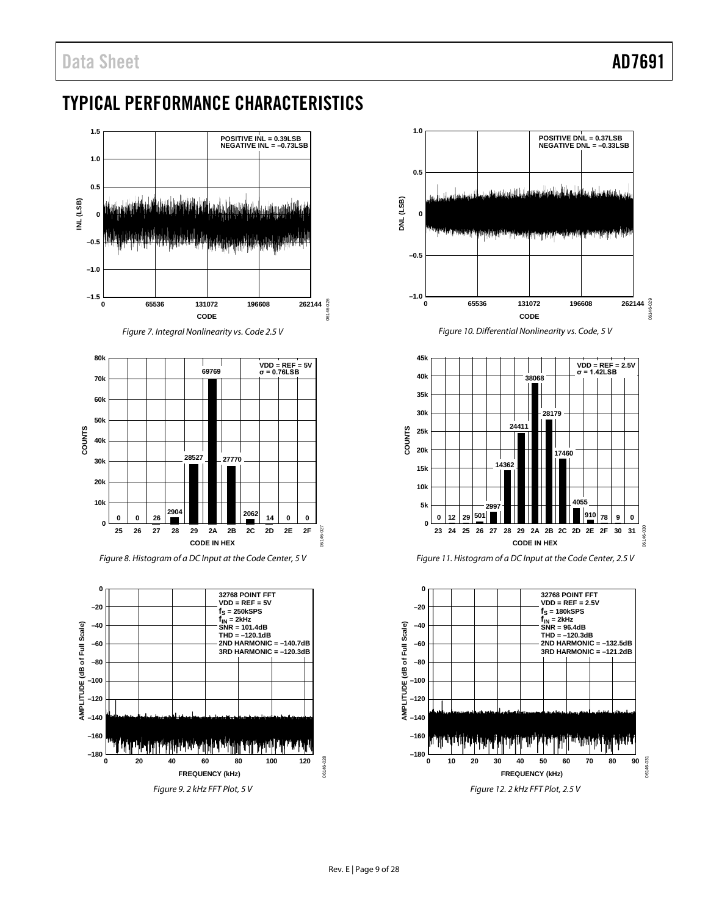# <span id="page-8-0"></span>TYPICAL PERFORMANCE CHARACTERISTICS



*Figure 8. Histogram of a DC Input at the Code Center, 5 V* 





*Figure 10. Differential Nonlinearity vs. Code, 5 V*





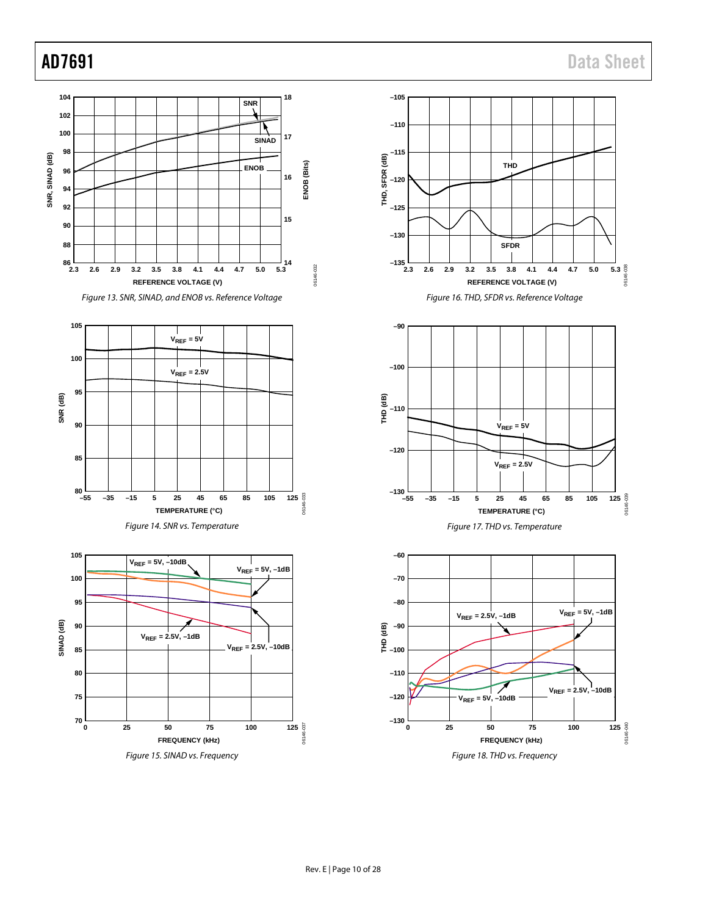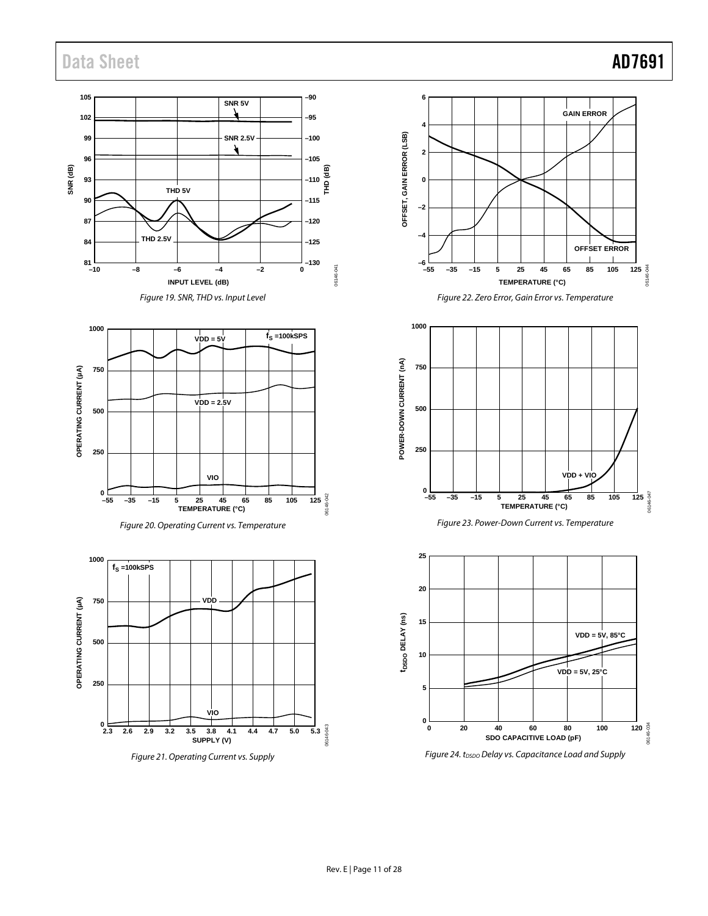# Data Sheet **AD7691**



*Figure 21. Operating Current vs. Supply*

06146-044

Σŕ,

06146-047

06146-034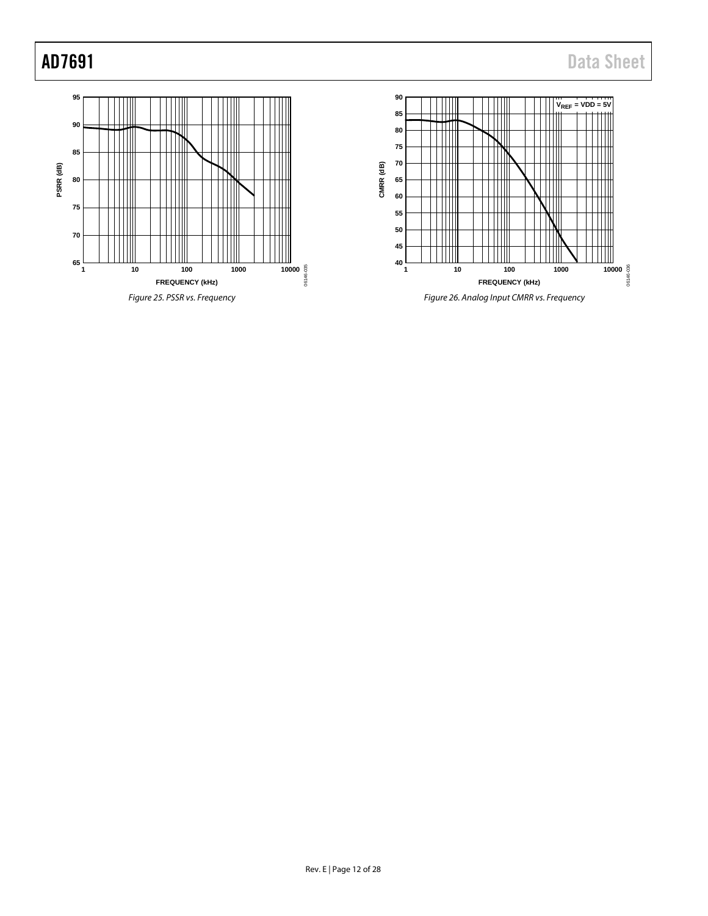<span id="page-11-0"></span>

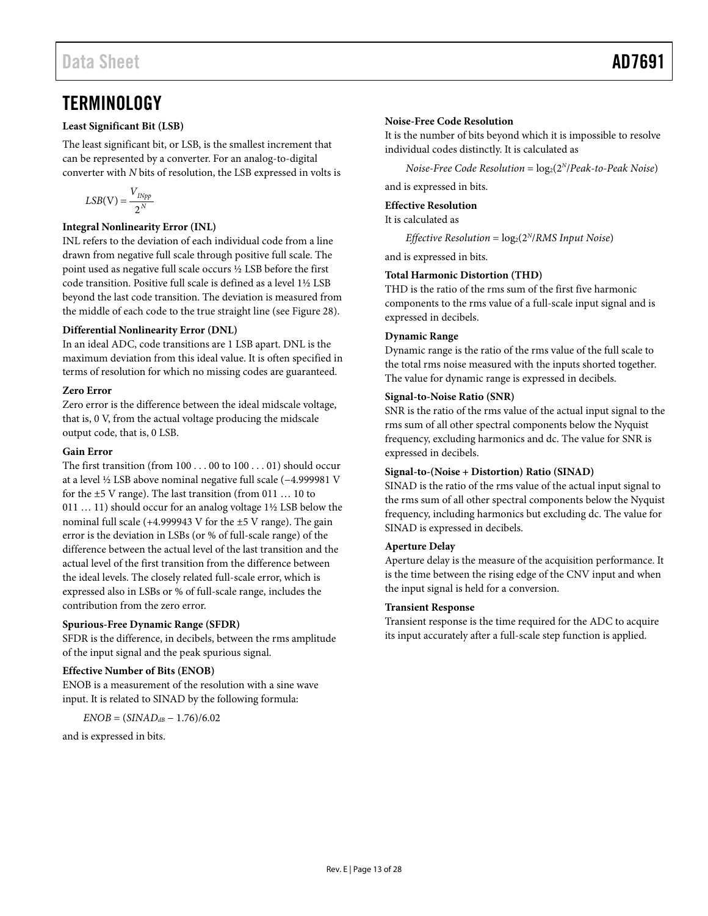# <span id="page-12-0"></span>**TERMINOLOGY**

### **Least Significant Bit (LSB)**

The least significant bit, or LSB, is the smallest increment that can be represented by a converter. For an analog-to-digital converter with *N* bits of resolution, the LSB expressed in volts is

$$
LSB(\mathbf{V}) = \frac{V_{INpp}}{2^N}
$$

### **Integral Nonlinearity Error (INL)**

INL refers to the deviation of each individual code from a line drawn from negative full scale through positive full scale. The point used as negative full scale occurs ½ LSB before the first code transition. Positive full scale is defined as a level 1½ LSB beyond the last code transition. The deviation is measured from the middle of each code to the true straight line (se[e Figure 28\)](#page-13-3).

### **Differential Nonlinearity Error (DNL)**

In an ideal ADC, code transitions are 1 LSB apart. DNL is the maximum deviation from this ideal value. It is often specified in terms of resolution for which no missing codes are guaranteed.

### **Zero Error**

Zero error is the difference between the ideal midscale voltage, that is, 0 V, from the actual voltage producing the midscale output code, that is, 0 LSB.

### **Gain Error**

The first transition (from 100 . . . 00 to 100 . . . 01) should occur at a level ½ LSB above nominal negative full scale (−4.999981 V for the ±5 V range). The last transition (from 011 … 10 to 011 … 11) should occur for an analog voltage 1½ LSB below the nominal full scale (+4.999943 V for the ±5 V range). The gain error is the deviation in LSBs (or % of full-scale range) of the difference between the actual level of the last transition and the actual level of the first transition from the difference between the ideal levels. The closely related full-scale error, which is expressed also in LSBs or % of full-scale range, includes the contribution from the zero error.

### **Spurious-Free Dynamic Range (SFDR)**

SFDR is the difference, in decibels, between the rms amplitude of the input signal and the peak spurious signal.

## **Effective Number of Bits (ENOB)**

ENOB is a measurement of the resolution with a sine wave input. It is related to SINAD by the following formula:

 $ENOB = (SIMAD<sub>dB</sub> - 1.76)/6.02$ 

and is expressed in bits.

### **Noise-Free Code Resolution**

It is the number of bits beyond which it is impossible to resolve individual codes distinctly. It is calculated as

*Noise-Free Code Resolution* =  $log_2(2^N/Peak-to-Peak Noise)$ and is expressed in bits.

### **Effective Resolution**

It is calculated as

*Effective Resolution* =  $log_2(2^N/RMS \text{ Input Noise})$ 

and is expressed in bits.

### **Total Harmonic Distortion (THD)**

THD is the ratio of the rms sum of the first five harmonic components to the rms value of a full-scale input signal and is expressed in decibels.

### **Dynamic Range**

Dynamic range is the ratio of the rms value of the full scale to the total rms noise measured with the inputs shorted together. The value for dynamic range is expressed in decibels.

### **Signal-to-Noise Ratio (SNR)**

SNR is the ratio of the rms value of the actual input signal to the rms sum of all other spectral components below the Nyquist frequency, excluding harmonics and dc. The value for SNR is expressed in decibels.

### **Signal-to-(Noise + Distortion) Ratio (SINAD)**

SINAD is the ratio of the rms value of the actual input signal to the rms sum of all other spectral components below the Nyquist frequency, including harmonics but excluding dc. The value for SINAD is expressed in decibels.

### **Aperture Delay**

Aperture delay is the measure of the acquisition performance. It is the time between the rising edge of the CNV input and when the input signal is held for a conversion.

### **Transient Response**

Transient response is the time required for the ADC to acquire its input accurately after a full-scale step function is applied.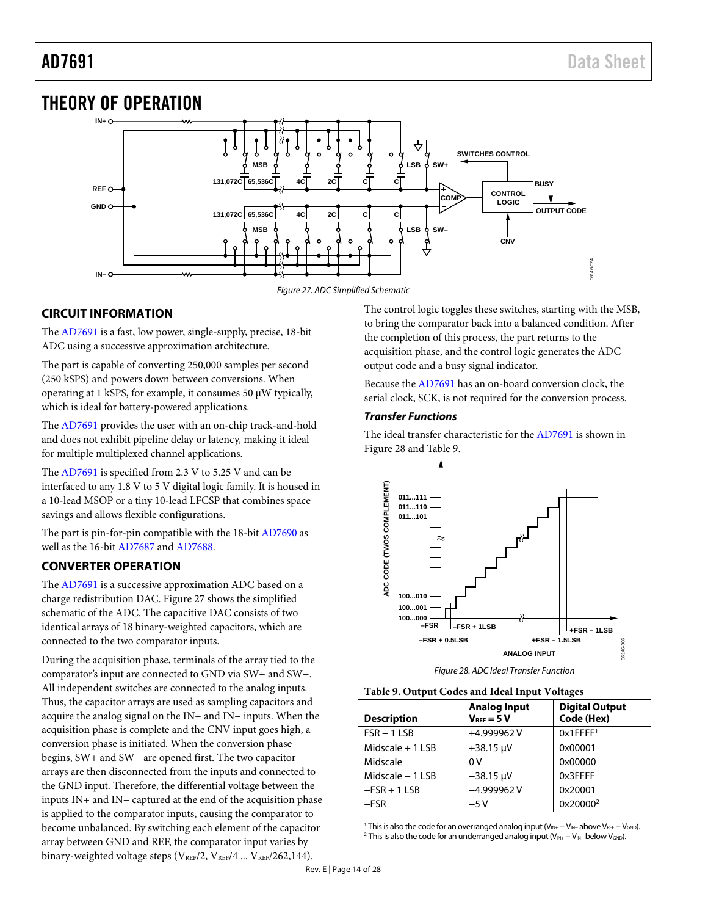# <span id="page-13-0"></span>THEORY OF OPERATION



*Figure 27. ADC Simplified Schematic*

# <span id="page-13-4"></span><span id="page-13-1"></span>**CIRCUIT INFORMATION**

The [AD7691](http://www.analog.com/AD7691?doc=AD7691.pdf) is a fast, low power, single-supply, precise, 18-bit ADC using a successive approximation architecture.

The part is capable of converting 250,000 samples per second (250 kSPS) and powers down between conversions. When operating at 1 kSPS, for example, it consumes 50 µW typically, which is ideal for battery-powered applications.

The [AD7691](http://www.analog.com/AD7691?doc=AD7691.pdf) provides the user with an on-chip track-and-hold and does not exhibit pipeline delay or latency, making it ideal for multiple multiplexed channel applications.

The [AD7691](http://www.analog.com/AD7691?doc=AD7691.pdf) is specified from 2.3 V to 5.25 V and can be interfaced to any 1.8 V to 5 V digital logic family. It is housed in a 10-lead MSOP or a tiny 10-lead LFCSP that combines space savings and allows flexible configurations.

The part is pin-for-pin compatible with the 18-bi[t AD7690](http://www.analog.com/AD7690?doc=AD7691.pdf) as well as the 16-bit [AD7687](http://www.analog.com/AD7687?doc=AD7691.pdf) an[d AD7688.](http://www.analog.com/AD7688?doc=AD7691.pdf)

# <span id="page-13-2"></span>**CONVERTER OPERATION**

The [AD7691](http://www.analog.com/AD7691?doc=AD7691.pdf) is a successive approximation ADC based on a charge redistribution DAC[. Figure](#page-13-4) 27 shows the simplified schematic of the ADC. The capacitive DAC consists of two identical arrays of 18 binary-weighted capacitors, which are connected to the two comparator inputs.

During the acquisition phase, terminals of the array tied to the comparator's input are connected to GND via SW+ and SW−. All independent switches are connected to the analog inputs. Thus, the capacitor arrays are used as sampling capacitors and acquire the analog signal on the IN+ and IN− inputs. When the acquisition phase is complete and the CNV input goes high, a conversion phase is initiated. When the conversion phase begins, SW+ and SW− are opened first. The two capacitor arrays are then disconnected from the inputs and connected to the GND input. Therefore, the differential voltage between the inputs IN+ and IN− captured at the end of the acquisition phase is applied to the comparator inputs, causing the comparator to become unbalanced. By switching each element of the capacitor array between GND and REF, the comparator input varies by binary-weighted voltage steps ( $V_{REF}/2$ ,  $V_{REF}/4$  ...  $V_{REF}/262,144$ ).

The control logic toggles these switches, starting with the MSB, to bring the comparator back into a balanced condition. After the completion of this process, the part returns to the acquisition phase, and the control logic generates the ADC output code and a busy signal indicator.

Because the [AD7691](http://www.analog.com/AD7691?doc=AD7691.pdf) has an on-board conversion clock, the serial clock, SCK, is not required for the conversion process.

## *Transfer Functions*

The ideal transfer characteristic for th[e AD7691](http://www.analog.com/AD7691?doc=AD7691.pdf) is shown in [Figure 28](#page-13-3) an[d Table 9.](#page-13-5) 



*Figure 28. ADC Ideal Transfer Function*

<span id="page-13-5"></span><span id="page-13-3"></span>

| Table 9. Output Codes and Ideal Input Voltages |  |  |
|------------------------------------------------|--|--|
|------------------------------------------------|--|--|

| <b>Description</b> | <b>Analog Input</b><br>$V_{REF} = 5 V$ | <b>Digital Output</b><br>Code (Hex) |
|--------------------|----------------------------------------|-------------------------------------|
| $FSR - 1LSB$       | +4.999962V                             | $0x1$ FFFF <sup>1</sup>             |
| Midscale $+1$ LSB  | $+38.15 \text{ }\mu\text{V}$           | 0x00001                             |
| Midscale           | 0V                                     | 0x00000                             |
| Midscale $-1$ LSB  | $-38.15 \mu V$                         | 0x3FFFF                             |
| $-FSR + 1LSB$      | $-4.999962V$                           | 0x20001                             |
| $-FSR$             | $-5V$                                  | 0x20000 <sup>2</sup>                |

<sup>1</sup> This is also the code for an overranged analog input (V<sub>IN+</sub> − V<sub>IN</sub>− above V<sub>REF</sub> − V<sub>GND</sub>). <sup>2</sup> This is also the code for an underranged analog input ( $V_{IN+} - V_{IN-}$  below  $V_{GND}$ ).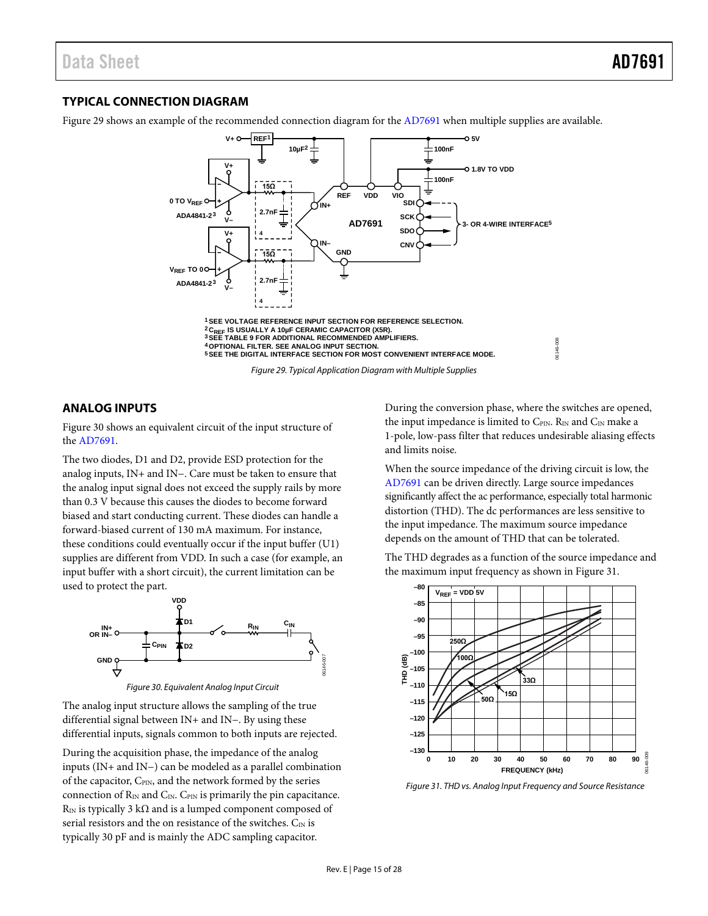## <span id="page-14-0"></span>**TYPICAL CONNECTION DIAGRAM**

[Figure 29](#page-14-2) shows an example of the recommended connection diagram for th[e AD7691](http://www.analog.com/AD7691?doc=AD7691.pdf) when multiple supplies are available.



#### <span id="page-14-2"></span><span id="page-14-1"></span>**ANALOG INPUTS**

[Figure 30](#page-14-3) shows an equivalent circuit of the input structure of the [AD7691.](http://www.analog.com/AD7691?doc=AD7691.pdf)

The two diodes, D1 and D2, provide ESD protection for the analog inputs, IN+ and IN−. Care must be taken to ensure that the analog input signal does not exceed the supply rails by more than 0.3 V because this causes the diodes to become forward biased and start conducting current. These diodes can handle a forward-biased current of 130 mA maximum. For instance, these conditions could eventually occur if the input buffer (U1) supplies are different from VDD. In such a case (for example, an input buffer with a short circuit), the current limitation can be used to protect the part.



*Figure 30. Equivalent Analog Input Circuit*

<span id="page-14-3"></span>The analog input structure allows the sampling of the true differential signal between IN+ and IN−. By using these differential inputs, signals common to both inputs are rejected.

During the acquisition phase, the impedance of the analog inputs (IN+ and IN−) can be modeled as a parallel combination of the capacitor, C<sub>PIN</sub>, and the network formed by the series connection of  $R_{\text{IN}}$  and  $C_{\text{IN}}$ . C<sub>PIN</sub> is primarily the pin capacitance. R<sub>IN</sub> is typically 3 k $\Omega$  and is a lumped component composed of serial resistors and the on resistance of the switches.  $C_{\text{IN}}$  is typically 30 pF and is mainly the ADC sampling capacitor.

During the conversion phase, where the switches are opened, the input impedance is limited to CPIN. RIN and CIN make a 1-pole, low-pass filter that reduces undesirable aliasing effects and limits noise.

When the source impedance of the driving circuit is low, the [AD7691](http://www.analog.com/AD7691?doc=AD7691.pdf) can be driven directly. Large source impedances significantly affect the ac performance, especially total harmonic distortion (THD). The dc performances are less sensitive to the input impedance. The maximum source impedance depends on the amount of THD that can be tolerated.

The THD degrades as a function of the source impedance and the maximum input frequency as shown in [Figure 31.](#page-14-4)



<span id="page-14-4"></span>*Figure 31. THD vs. Analog Input Frequency and Source Resistance*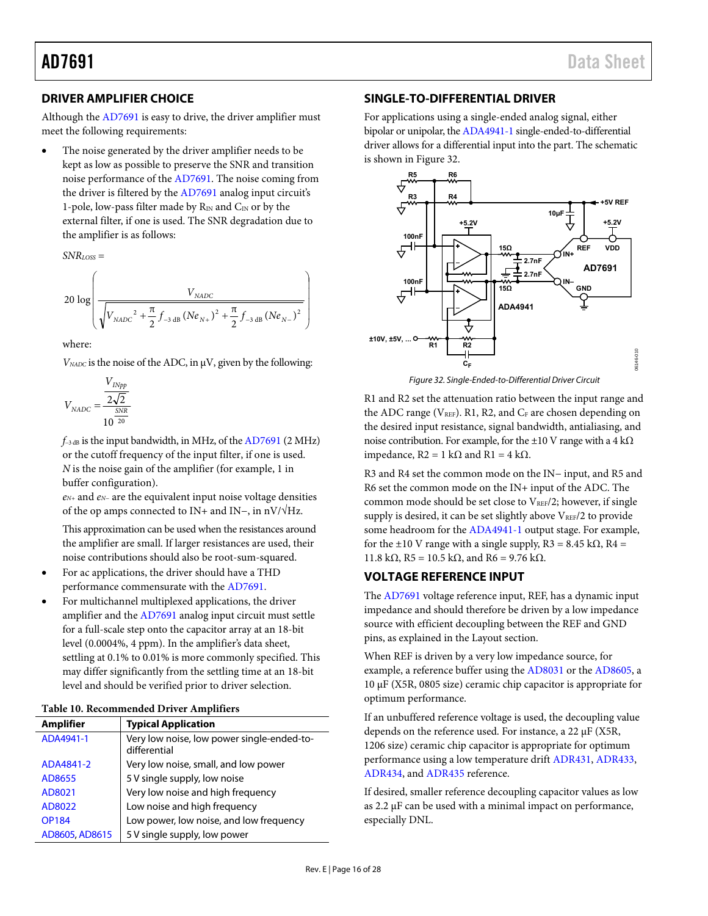# <span id="page-15-0"></span>**DRIVER AMPLIFIER CHOICE**

Although th[e AD7691 i](http://www.analog.com/AD7691?doc=AD7691.pdf)s easy to drive, the driver amplifier must meet the following requirements:

 The noise generated by the driver amplifier needs to be kept as low as possible to preserve the SNR and transition noise performance of the [AD7691.](http://www.analog.com/AD7691?doc=AD7691.pdf) The noise coming from the driver is filtered by the [AD7691](http://www.analog.com/AD7691?doc=AD7691.pdf) analog input circuit's 1-pole, low-pass filter made by  $R_{IN}$  and  $C_{IN}$  or by the external filter, if one is used. The SNR degradation due to the amplifier is as follows:

*SNRLOSS* =

 $\overline{\phantom{a}}$  $\overline{\phantom{a}}$  $\overline{\phantom{a}}$  $\overline{\phantom{a}}$ J  $\backslash$ L L L L l ſ  $20 \log \left( \frac{N_{NADC}^2}{\sqrt{V_{NADC}^2 + \frac{\pi}{2} f_{-3\,\text{dB}} (Ne_{N+})^2 + \frac{\pi}{2} f_{-3\,\text{dB}} (Ne_{N-})^2}} \right)$ *NADC*  $V_{\text{NADC}}^{2} + \frac{1}{2} f_{-3 \text{ dB}} (\text{Ne}_{N+})^2 + \frac{1}{2} f_{-3 \text{ dB}} (\text{Ne}_{N})^2$ *V*

where:

*VNADC* is the noise of the ADC, in μV, given by the following:

$$
V_{NADC} = \frac{\frac{V_{INpp}}{2\sqrt{2}}}{10^{\frac{SNR}{20}}}
$$

*f*−3 dB is the input bandwidth, in MHz, of th[e AD7691](http://www.analog.com/AD7691?doc=AD7691.pdf) (2 MHz) or the cutoff frequency of the input filter, if one is used. *N* is the noise gain of the amplifier (for example, 1 in buffer configuration).

*eN+* and *eN−* are the equivalent input noise voltage densities of the op amps connected to IN+ and IN−, in nV/√Hz.

This approximation can be used when the resistances around the amplifier are small. If larger resistances are used, their noise contributions should also be root-sum-squared.

- For ac applications, the driver should have a THD performance commensurate with th[e AD7691.](http://www.analog.com/AD7691?doc=AD7691.pdf)
- For multichannel multiplexed applications, the driver amplifier and th[e AD7691](http://www.analog.com/AD7691?doc=AD7691.pdf) analog input circuit must settle for a full-scale step onto the capacitor array at an 18-bit level (0.0004%, 4 ppm). In the amplifier's data sheet, settling at 0.1% to 0.01% is more commonly specified. This may differ significantly from the settling time at an 18-bit level and should be verified prior to driver selection.

| <b>Amplifier</b> | <b>Typical Application</b>                                 |  |  |
|------------------|------------------------------------------------------------|--|--|
| ADA4941-1        | Very low noise, low power single-ended-to-<br>differential |  |  |
| ADA4841-2        | Very low noise, small, and low power                       |  |  |
| AD8655           | 5 V single supply, low noise                               |  |  |
| AD8021           | Very low noise and high frequency                          |  |  |
| AD8022           | Low noise and high frequency                               |  |  |
| <b>OP184</b>     | Low power, low noise, and low frequency                    |  |  |
| AD8605, AD8615   | 5 V single supply, low power                               |  |  |

### **Table 10. Recommended Driver Amplifiers**

### <span id="page-15-1"></span>**SINGLE-TO-DIFFERENTIAL DRIVER**

For applications using a single-ended analog signal, either bipolar or unipolar, th[e ADA4941-1](http://www.analog.com/ADA4941-1?doc=AD7691.pdf) single-ended-to-differential driver allows for a differential input into the part. The schematic is shown in [Figure 32.](#page-15-3)



Figure 32. Single-Ended-to-Differential Driver Circuit

<span id="page-15-3"></span>R1 and R2 set the attenuation ratio between the input range and the ADC range ( $V_{REF}$ ). R1, R2, and  $C_F$  are chosen depending on the desired input resistance, signal bandwidth, antialiasing, and noise contribution. For example, for the  $\pm 10$  V range with a 4 k $\Omega$ impedance,  $R2 = 1$  kΩ and  $R1 = 4$  kΩ.

R3 and R4 set the common mode on the IN− input, and R5 and R6 set the common mode on the IN+ input of the ADC. The common mode should be set close to VREF/2; however, if single supply is desired, it can be set slightly above  $V_{REF}/2$  to provide some headroom for the [ADA4941-1 o](http://www.analog.com/ADA4941-1?doc=AD7691.pdf)utput stage. For example, for the  $\pm 10$  V range with a single supply, R3 = 8.45 k $\Omega$ , R4 = 11.8 kΩ, R5 = 10.5 kΩ, and R6 = 9.76 kΩ.

## <span id="page-15-2"></span>**VOLTAGE REFERENCE INPUT**

The [AD7691 v](http://www.analog.com/AD7691?doc=AD7691.pdf)oltage reference input, REF, has a dynamic input impedance and should therefore be driven by a low impedance source with efficient decoupling between the REF and GND pins, as explained in the [Layout](#page-23-1) section.

When REF is driven by a very low impedance source, for example, a reference buffer using the [AD8031](http://www.analog.com/AD8031?doc=AD7691.pdf) or th[e AD8605,](http://www.analog.com/AD8605?doc=AD7691.pdf) a 10 μF (X5R, 0805 size) ceramic chip capacitor is appropriate for optimum performance.

If an unbuffered reference voltage is used, the decoupling value depends on the reference used. For instance, a 22 μF (X5R, 1206 size) ceramic chip capacitor is appropriate for optimum performance using a low temperature drif[t ADR431,](http://www.analog.com/ADR431?doc=AD7961.pdf) [ADR433,](http://www.analog.com/ADR433?doc=AD7961.pdf) [ADR434,](http://www.analog.com/ADR434?doc=AD7961.pdf) and [ADR435](http://www.analog.com/ADR435?doc=AD7961.pdf) reference.

If desired, smaller reference decoupling capacitor values as low as 2.2 μF can be used with a minimal impact on performance, especially DNL.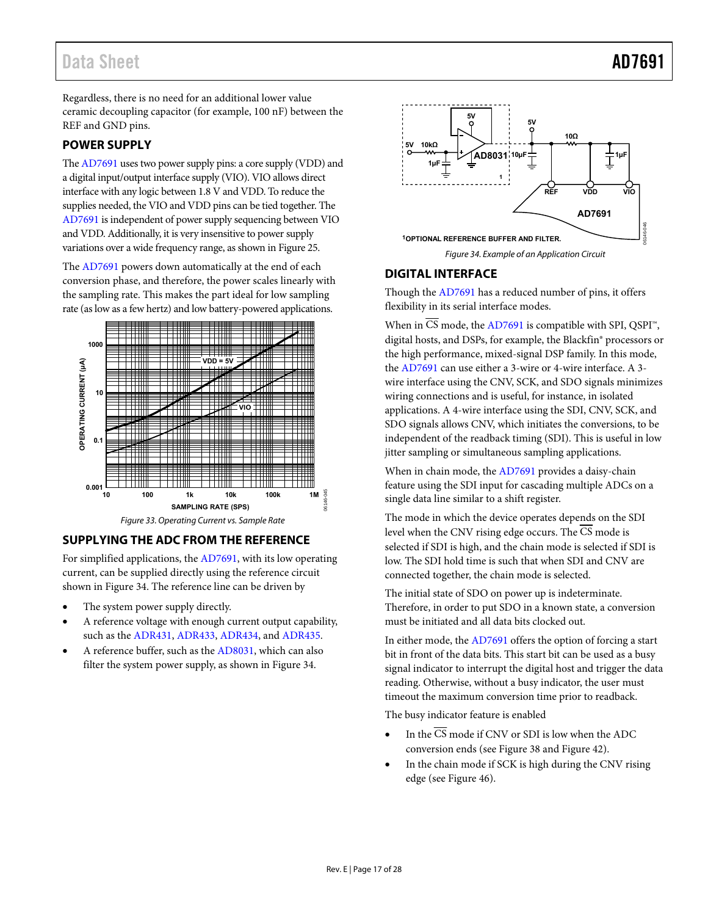# Data Sheet **AD7691**

Regardless, there is no need for an additional lower value ceramic decoupling capacitor (for example, 100 nF) between the REF and GND pins.

## <span id="page-16-0"></span>**POWER SUPPLY**

Th[e AD7691 u](http://www.analog.com/AD7691?doc=AD7691.pdf)ses two power supply pins: a core supply (VDD) and a digital input/output interface supply (VIO). VIO allows direct interface with any logic between 1.8 V and VDD. To reduce the supplies needed, the VIO and VDD pins can be tied together. The [AD7691 i](http://www.analog.com/AD7691?doc=AD7691.pdf)s independent of power supply sequencing between VIO and VDD. Additionally, it is very insensitive to power supply variations over a wide frequency range, as shown i[n Figure 25.](#page-11-0) 

The [AD7691](http://www.analog.com/AD7691?doc=AD7691.pdf) powers down automatically at the end of each conversion phase, and therefore, the power scales linearly with the sampling rate. This makes the part ideal for low sampling rate (as low as a few hertz) and low battery-powered applications.



# <span id="page-16-1"></span>**SUPPLYING THE ADC FROM THE REFERENCE**

For simplified applications, th[e AD7691,](http://www.analog.com/AD7691?doc=AD7691.pdf) with its low operating current, can be supplied directly using the reference circuit shown in [Figure 34.](#page-16-3) The reference line can be driven by

- The system power supply directly.
- A reference voltage with enough current output capability, such as th[e ADR431,](http://www.analog.com/ADR431?doc=AD7961.pdf) [ADR433,](http://www.analog.com/ADR433?doc=AD7961.pdf) [ADR434,](http://www.analog.com/ADR434?doc=AD7961.pdf) and [ADR435.](http://www.analog.com/ADR435?doc=AD7961.pdf)
- A reference buffer, such as the [AD8031,](http://www.analog.com/AD8031?doc=AD7691.pdf) which can also filter the system power supply, as shown i[n Figure 34.](#page-16-3)



# <span id="page-16-3"></span><span id="page-16-2"></span>**DIGITAL INTERFACE**

Though th[e AD7691 h](http://www.analog.com/AD7691?doc=AD7691.pdf)as a reduced number of pins, it offers flexibility in its serial interface modes.

When in  $\overline{CS}$  mode, th[e AD7691 i](http://www.analog.com/AD7691?doc=AD7691.pdf)s compatible with SPI, QSPI<sup>™</sup>, digital hosts, and DSPs, for example, the Blackfin® processors or the high performance, mixed-signal DSP family. In this mode, the [AD7691](http://www.analog.com/AD7691?doc=AD7691.pdf) can use either a 3-wire or 4-wire interface. A 3 wire interface using the CNV, SCK, and SDO signals minimizes wiring connections and is useful, for instance, in isolated applications. A 4-wire interface using the SDI, CNV, SCK, and SDO signals allows CNV, which initiates the conversions, to be independent of the readback timing (SDI). This is useful in low jitter sampling or simultaneous sampling applications.

When in chain mode, th[e AD7691 p](http://www.analog.com/AD7691?doc=AD7691.pdf)rovides a daisy-chain feature using the SDI input for cascading multiple ADCs on a single data line similar to a shift register.

The mode in which the device operates depends on the SDI level when the CNV rising edge occurs. The CS mode is selected if SDI is high, and the chain mode is selected if SDI is low. The SDI hold time is such that when SDI and CNV are connected together, the chain mode is selected.

The initial state of SDO on power up is indeterminate. Therefore, in order to put SDO in a known state, a conversion must be initiated and all data bits clocked out.

In either mode, the [AD7691 o](http://www.analog.com/AD7691?doc=AD7691.pdf)ffers the option of forcing a start bit in front of the data bits. This start bit can be used as a busy signal indicator to interrupt the digital host and trigger the data reading. Otherwise, without a busy indicator, the user must timeout the maximum conversion time prior to readback.

The busy indicator feature is enabled

- In the  $\overline{\text{CS}}$  mode if CNV or SDI is low when the ADC conversion ends (se[e Figure 38 a](#page-18-1)nd [Figure 42\)](#page-20-1).
- In the chain mode if SCK is high during the CNV rising edge (see [Figure 46\)](#page-22-1).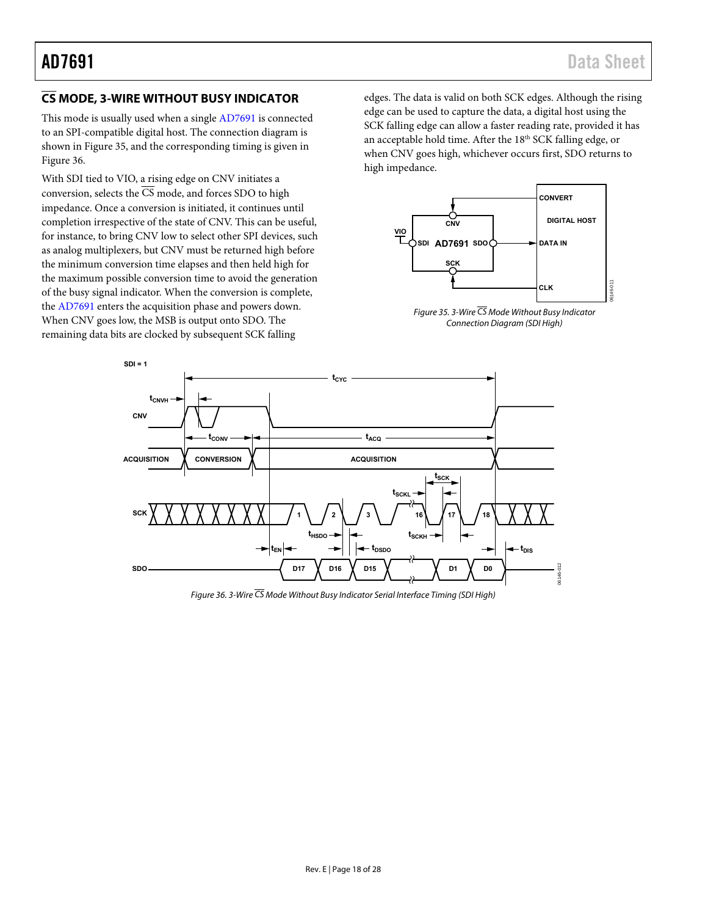# <span id="page-17-0"></span>**CS MODE, 3-WIRE WITHOUT BUSY INDICATOR**

This mode is usually used when a singl[e AD7691 i](http://www.analog.com/AD7691?doc=AD7691.pdf)s connected to an SPI-compatible digital host. The connection diagram is shown in [Figure 35,](#page-17-1) and the corresponding timing is given in [Figure 36.](#page-17-2) 

With SDI tied to VIO, a rising edge on CNV initiates a conversion, selects the  $\overline{CS}$  mode, and forces SDO to high impedance. Once a conversion is initiated, it continues until completion irrespective of the state of CNV. This can be useful, for instance, to bring CNV low to select other SPI devices, such as analog multiplexers, but CNV must be returned high before the minimum conversion time elapses and then held high for the maximum possible conversion time to avoid the generation of the busy signal indicator. When the conversion is complete, the [AD7691](http://www.analog.com/AD7691?doc=AD7691.pdf) enters the acquisition phase and powers down. When CNV goes low, the MSB is output onto SDO. The remaining data bits are clocked by subsequent SCK falling

edges. The data is valid on both SCK edges. Although the rising edge can be used to capture the data, a digital host using the SCK falling edge can allow a faster reading rate, provided it has an acceptable hold time. After the 18<sup>th</sup> SCK falling edge, or when CNV goes high, whichever occurs first, SDO returns to high impedance.



<span id="page-17-1"></span>Figure 35. 3-Wire  $\overline{CS}$  Mode Without Busy Indicator Connection Diagram (SDI High)



<span id="page-17-2"></span>Figure 36. 3-Wire  $\overline{CS}$  Mode Without Busy Indicator Serial Interface Timing (SDI High)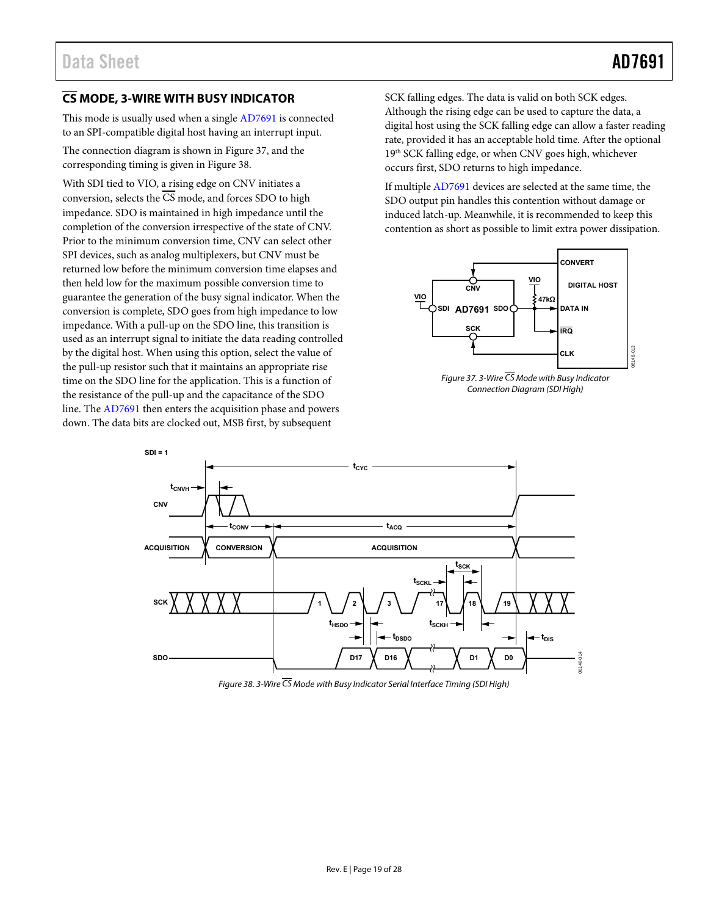# <span id="page-18-0"></span>**CS MODE, 3-WIRE WITH BUSY INDICATOR**

This mode is usually used when a singl[e AD7691 i](http://www.analog.com/AD7691?doc=AD7691.pdf)s connected to an SPI-compatible digital host having an interrupt input.

The connection diagram is shown in [Figure 37,](#page-18-2) and the corresponding timing is given i[n Figure 38.](#page-18-1) 

With SDI tied to VIO, a rising edge on CNV initiates a conversion, selects the CS mode, and forces SDO to high impedance. SDO is maintained in high impedance until the completion of the conversion irrespective of the state of CNV. Prior to the minimum conversion time, CNV can select other SPI devices, such as analog multiplexers, but CNV must be returned low before the minimum conversion time elapses and then held low for the maximum possible conversion time to guarantee the generation of the busy signal indicator. When the conversion is complete, SDO goes from high impedance to low impedance. With a pull-up on the SDO line, this transition is used as an interrupt signal to initiate the data reading controlled by the digital host. When using this option, select the value of the pull-up resistor such that it maintains an appropriate rise time on the SDO line for the application. This is a function of the resistance of the pull-up and the capacitance of the SDO line. Th[e AD7691 t](http://www.analog.com/AD7691?doc=AD7691.pdf)hen enters the acquisition phase and powers down. The data bits are clocked out, MSB first, by subsequent

SCK falling edges. The data is valid on both SCK edges. Although the rising edge can be used to capture the data, a digital host using the SCK falling edge can allow a faster reading rate, provided it has an acceptable hold time. After the optional 19<sup>th</sup> SCK falling edge, or when CNV goes high, whichever occurs first, SDO returns to high impedance.

If multiple [AD7691 d](http://www.analog.com/AD7691?doc=AD7691.pdf)evices are selected at the same time, the SDO output pin handles this contention without damage or induced latch-up. Meanwhile, it is recommended to keep this contention as short as possible to limit extra power dissipation.



<span id="page-18-2"></span>Figure 37. 3-Wire  $\overline{CS}$  Mode with Busy Indicator Connection Diagram (SDI High)



<span id="page-18-1"></span>Figure 38. 3-Wire  $\overline{CS}$  Mode with Busy Indicator Serial Interface Timing (SDI High)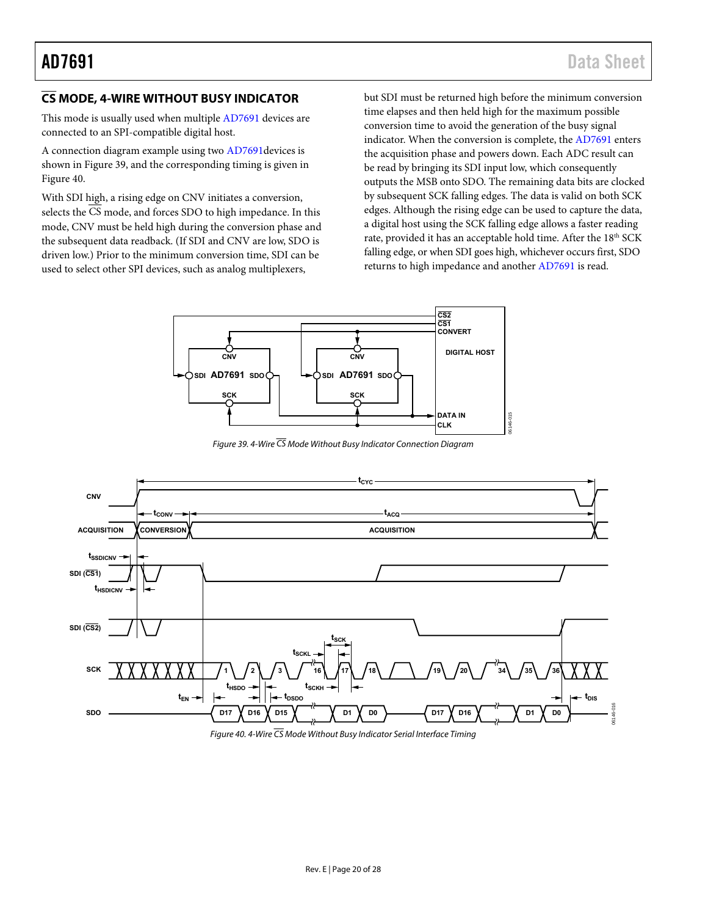# <span id="page-19-0"></span>**CS MODE, 4-WIRE WITHOUT BUSY INDICATOR**

This mode is usually used when multiple [AD7691 d](http://www.analog.com/AD7691?doc=AD7691.pdf)evices are connected to an SPI-compatible digital host.

A connection diagram example using two [AD7691d](http://www.analog.com/AD7691?doc=AD7691.pdf)evices is shown in [Figure 39,](#page-19-1) and the corresponding timing is given in [Figure 40.](#page-19-2) 

With SDI high, a rising edge on CNV initiates a conversion, selects the CS mode, and forces SDO to high impedance. In this mode, CNV must be held high during the conversion phase and the subsequent data readback. (If SDI and CNV are low, SDO is driven low.) Prior to the minimum conversion time, SDI can be used to select other SPI devices, such as analog multiplexers,

but SDI must be returned high before the minimum conversion time elapses and then held high for the maximum possible conversion time to avoid the generation of the busy signal indicator. When the conversion is complete, th[e AD7691 e](http://www.analog.com/AD7691?doc=AD7691.pdf)nters the acquisition phase and powers down. Each ADC result can be read by bringing its SDI input low, which consequently outputs the MSB onto SDO. The remaining data bits are clocked by subsequent SCK falling edges. The data is valid on both SCK edges. Although the rising edge can be used to capture the data, a digital host using the SCK falling edge allows a faster reading rate, provided it has an acceptable hold time. After the 18<sup>th</sup> SCK falling edge, or when SDI goes high, whichever occurs first, SDO returns to high impedance and anothe[r AD7691 i](http://www.analog.com/AD7691?doc=AD7691.pdf)s read.



Figure 39. 4-Wire  $\overline{\text{CS}}$  Mode Without Busy Indicator Connection Diagram

<span id="page-19-1"></span>

<span id="page-19-2"></span>Figure 40. 4-Wire  $\overline{\text{CS}}$  Mode Without Busy Indicator Serial Interface Timing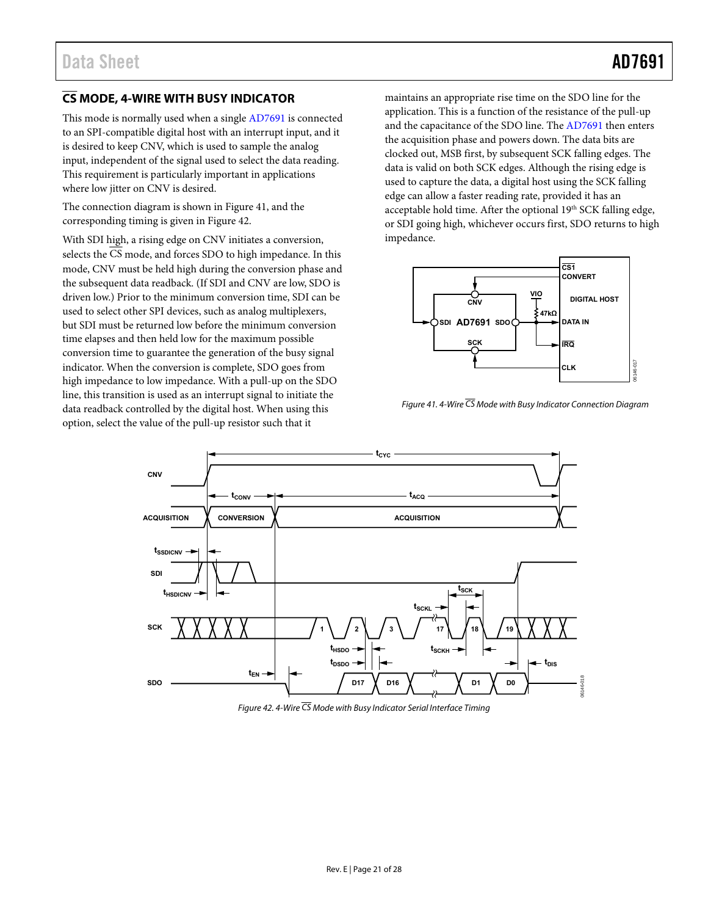# <span id="page-20-0"></span>**CS MODE, 4-WIRE WITH BUSY INDICATOR**

This mode is normally used when a singl[e AD7691](http://www.analog.com/AD7691?doc=AD7691.pdf) is connected to an SPI-compatible digital host with an interrupt input, and it is desired to keep CNV, which is used to sample the analog input, independent of the signal used to select the data reading. This requirement is particularly important in applications where low jitter on CNV is desired.

The connection diagram is shown in [Figure 41,](#page-20-2) and the corresponding timing is given i[n Figure 42.](#page-20-1) 

With SDI high, a rising edge on CNV initiates a conversion, selects the  $\overline{CS}$  mode, and forces SDO to high impedance. In this mode, CNV must be held high during the conversion phase and the subsequent data readback. (If SDI and CNV are low, SDO is driven low.) Prior to the minimum conversion time, SDI can be used to select other SPI devices, such as analog multiplexers, but SDI must be returned low before the minimum conversion time elapses and then held low for the maximum possible conversion time to guarantee the generation of the busy signal indicator. When the conversion is complete, SDO goes from high impedance to low impedance. With a pull-up on the SDO line, this transition is used as an interrupt signal to initiate the data readback controlled by the digital host. When using this option, select the value of the pull-up resistor such that it

maintains an appropriate rise time on the SDO line for the application. This is a function of the resistance of the pull-up and the capacitance of the SDO line. The [AD7691 t](http://www.analog.com/AD7691?doc=AD7691.pdf)hen enters the acquisition phase and powers down. The data bits are clocked out, MSB first, by subsequent SCK falling edges. The data is valid on both SCK edges. Although the rising edge is used to capture the data, a digital host using the SCK falling edge can allow a faster reading rate, provided it has an acceptable hold time. After the optional 19th SCK falling edge, or SDI going high, whichever occurs first, SDO returns to high impedance.



<span id="page-20-2"></span>Figure 41. 4-Wire  $\overline{CS}$  Mode with Busy Indicator Connection Diagram



<span id="page-20-1"></span>Figure 42. 4-Wire  $\overline{\text{CS}}$  Mode with Busy Indicator Serial Interface Timing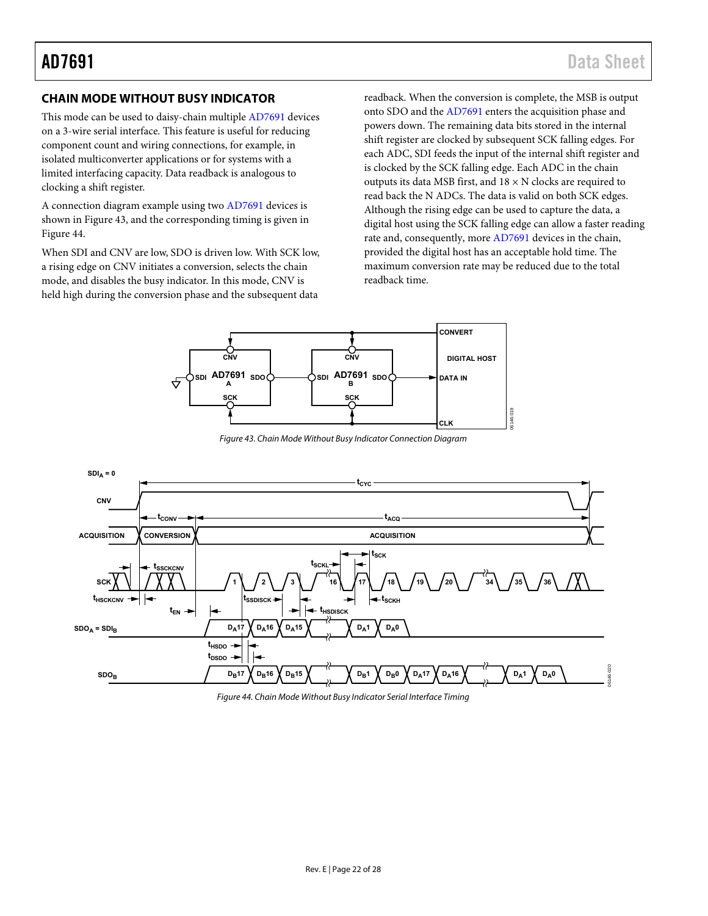## <span id="page-21-0"></span>**CHAIN MODE WITHOUT BUSY INDICATOR**

This mode can be used to daisy-chain multiple [AD7691 d](http://www.analog.com/AD7691?doc=AD7691.pdf)evices on a 3-wire serial interface. This feature is useful for reducing component count and wiring connections, for example, in isolated multiconverter applications or for systems with a limited interfacing capacity. Data readback is analogous to clocking a shift register.

A connection diagram example using two [AD7691](http://www.analog.com/AD7691?doc=AD7691.pdf) devices is shown in [Figure 43,](#page-21-1) and the corresponding timing is given in [Figure 44.](#page-21-2) 

When SDI and CNV are low, SDO is driven low. With SCK low, a rising edge on CNV initiates a conversion, selects the chain mode, and disables the busy indicator. In this mode, CNV is held high during the conversion phase and the subsequent data

readback. When the conversion is complete, the MSB is output onto SDO and the [AD7691 e](http://www.analog.com/AD7691?doc=AD7691.pdf)nters the acquisition phase and powers down. The remaining data bits stored in the internal shift register are clocked by subsequent SCK falling edges. For each ADC, SDI feeds the input of the internal shift register and is clocked by the SCK falling edge. Each ADC in the chain outputs its data MSB first, and  $18 \times N$  clocks are required to read back the N ADCs. The data is valid on both SCK edges. Although the rising edge can be used to capture the data, a digital host using the SCK falling edge can allow a faster reading rate and, consequently, mor[e AD7691 d](http://www.analog.com/AD7691?doc=AD7691.pdf)evices in the chain, provided the digital host has an acceptable hold time. The maximum conversion rate may be reduced due to the total readback time.



Figure 43. Chain Mode Without Busy Indicator Connection Diagram

<span id="page-21-1"></span>

<span id="page-21-2"></span>Figure 44. Chain Mode Without Busy Indicator Serial Interface Timing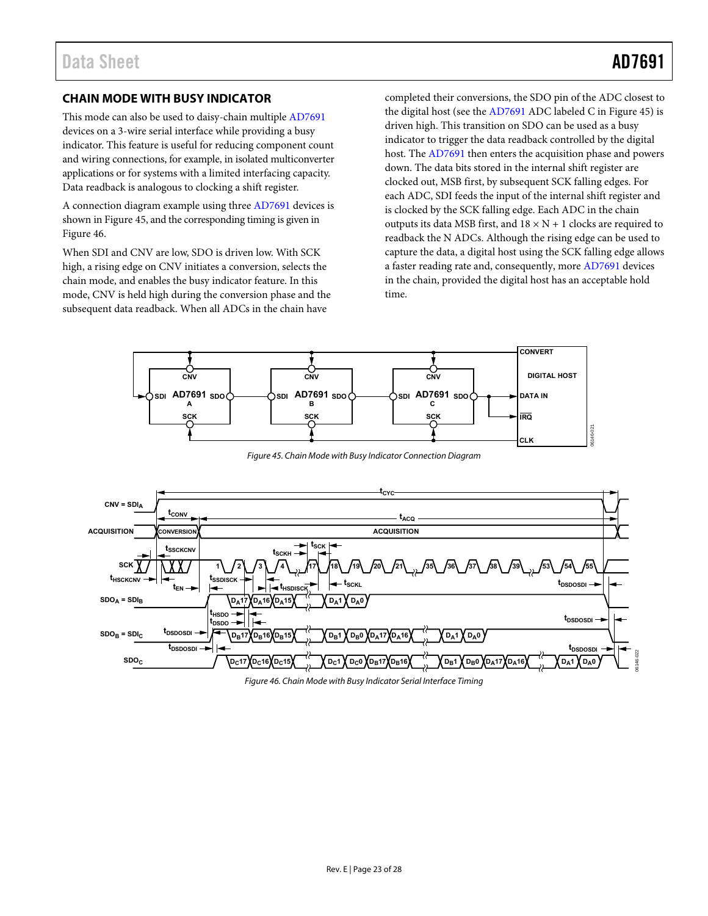# <span id="page-22-0"></span>**CHAIN MODE WITH BUSY INDICATOR**

This mode can also be used to daisy-chain multiple [AD7691](http://www.analog.com/AD7691?doc=AD7691.pdf) devices on a 3-wire serial interface while providing a busy indicator. This feature is useful for reducing component count and wiring connections, for example, in isolated multiconverter applications or for systems with a limited interfacing capacity. Data readback is analogous to clocking a shift register.

A connection diagram example using thre[e AD7691](http://www.analog.com/AD7691?doc=AD7691.pdf) devices is shown i[n Figure 45,](#page-22-2) and the corresponding timing is given in [Figure 46.](#page-22-1) 

When SDI and CNV are low, SDO is driven low. With SCK high, a rising edge on CNV initiates a conversion, selects the chain mode, and enables the busy indicator feature. In this mode, CNV is held high during the conversion phase and the subsequent data readback. When all ADCs in the chain have

completed their conversions, the SDO pin of the ADC closest to the digital host (see the [AD7691](http://www.analog.com/AD7691?doc=AD7691.pdf) ADC labeled C i[n Figure 45\)](#page-22-2) is driven high. This transition on SDO can be used as a busy indicator to trigger the data readback controlled by the digital host. Th[e AD7691 t](http://www.analog.com/AD7691?doc=AD7691.pdf)hen enters the acquisition phase and powers down. The data bits stored in the internal shift register are clocked out, MSB first, by subsequent SCK falling edges. For each ADC, SDI feeds the input of the internal shift register and is clocked by the SCK falling edge. Each ADC in the chain outputs its data MSB first, and  $18 \times N + 1$  clocks are required to readback the N ADCs. Although the rising edge can be used to capture the data, a digital host using the SCK falling edge allows a faster reading rate and, consequently, more [AD7691 d](http://www.analog.com/AD7691?doc=AD7691.pdf)evices in the chain, provided the digital host has an acceptable hold time.



Figure 45. Chain Mode with Busy Indicator Connection Diagram

<span id="page-22-2"></span>

<span id="page-22-1"></span>Figure 46. Chain Mode with Busy Indicator Serial Interface Timing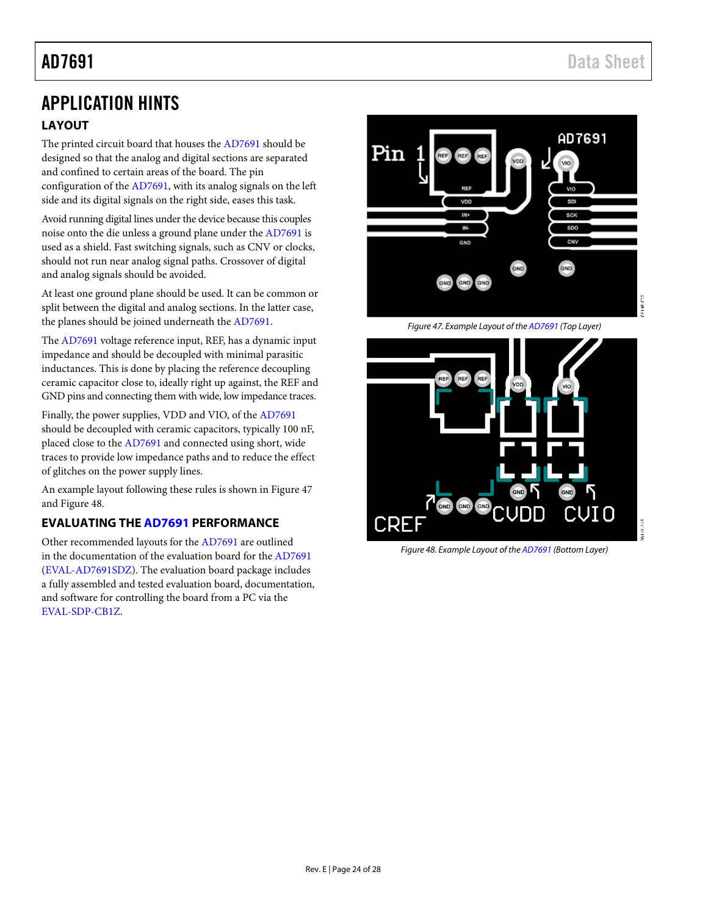# <span id="page-23-1"></span><span id="page-23-0"></span>APPLICATION HINTS **LAYOUT**

The printed circuit board that houses th[e AD7691](http://www.analog.com/AD7691?doc=AD7691.pdf) should be designed so that the analog and digital sections are separated and confined to certain areas of the board. The pin configuration of the [AD7691,](http://www.analog.com/AD7691?doc=AD7691.pdf) with its analog signals on the left side and its digital signals on the right side, eases this task.

Avoid running digital lines under the device because this couples noise onto the die unless a ground plane under th[e AD7691](http://www.analog.com/AD7691?doc=AD7691.pdf) is used as a shield. Fast switching signals, such as CNV or clocks, should not run near analog signal paths. Crossover of digital and analog signals should be avoided.

At least one ground plane should be used. It can be common or split between the digital and analog sections. In the latter case, the planes should be joined underneath the [AD7691.](http://www.analog.com/AD7691?doc=AD7691.pdf)

The [AD7691](http://www.analog.com/AD7691?doc=AD7691.pdf) voltage reference input, REF, has a dynamic input impedance and should be decoupled with minimal parasitic inductances. This is done by placing the reference decoupling ceramic capacitor close to, ideally right up against, the REF and GND pins and connecting them with wide, low impedance traces.

Finally, the power supplies, VDD and VIO, of th[e AD7691](http://www.analog.com/AD7691?doc=AD7691.pdf) should be decoupled with ceramic capacitors, typically 100 nF, placed close to the [AD7691](http://www.analog.com/AD7691?doc=AD7691.pdf) and connected using short, wide traces to provide low impedance paths and to reduce the effect of glitches on the power supply lines.

An example layout following these rules is shown i[n Figure 47](#page-23-3) an[d Figure 48.](#page-23-4)

# <span id="page-23-2"></span>**EVALUATING TH[E AD7691](http://www.analog.com/AD7691?doc=AD7691.pdf) PERFORMANCE**

Other recommended layouts for th[e AD7691](http://www.analog.com/AD7691?doc=AD7691.pdf) are outlined in the documentation of the evaluation board for the [AD7691](http://www.analog.com/AD7691?doc=AD7691.pdf) [\(EVAL-AD7691SDZ\)](http://www.analog.com/eval-AD7691sdz?doc=AD7691.pdf). The evaluation board package includes a fully assembled and tested evaluation board, documentation, and software for controlling the board from a PC via the [EVAL-SDP-CB1Z.](http://www.analog.com/EVAL-SDP-CB1Z?doc=AD7691.pdf)



*Figure 47. Example Layout of th[e AD7691](http://www.analog.com/AD7691?doc=AD7691.pdf) (Top Layer)*

<span id="page-23-4"></span><span id="page-23-3"></span>

*Figure 48. Example Layout of th[e AD7691](http://www.analog.com/AD7691?doc=AD7691.pdf) (Bottom Layer)*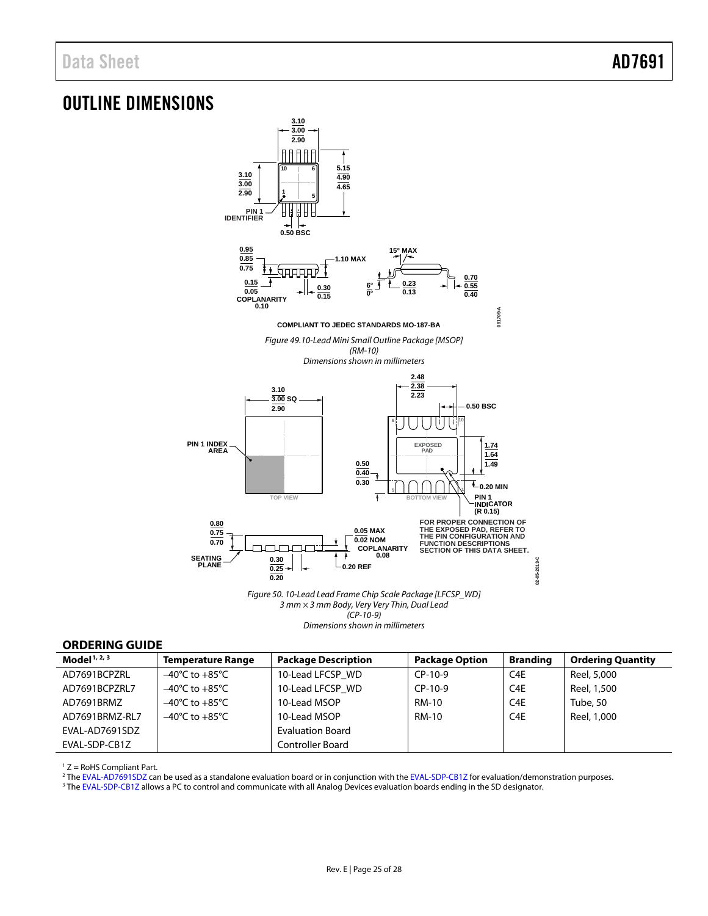# <span id="page-24-0"></span>OUTLINE DIMENSIONS



*Dimensions shown in millimeters*

## <span id="page-24-1"></span>**ORDERING GUIDE**

| Model <sup>1, 2, 3</sup> | <b>Temperature Range</b>           | <b>Package Description</b> | <b>Package Option</b> | <b>Branding</b>  | <b>Ordering Quantity</b> |
|--------------------------|------------------------------------|----------------------------|-----------------------|------------------|--------------------------|
| AD7691BCPZRL             | $-40^{\circ}$ C to $+85^{\circ}$ C | 10-Lead LFCSP WD           | $CP-10-9$             | C <sub>4</sub> E | Reel, 5,000              |
| AD7691BCPZRL7            | $-40^{\circ}$ C to $+85^{\circ}$ C | 10-Lead LFCSP WD           | $CP-10-9$             | C <sub>4</sub> E | Reel, 1,500              |
| AD7691BRMZ               | $-40^{\circ}$ C to $+85^{\circ}$ C | 10-Lead MSOP               | RM-10                 | C <sub>4</sub> E | Tube, 50                 |
| AD7691BRMZ-RL7           | $-40^{\circ}$ C to $+85^{\circ}$ C | 10-Lead MSOP               | RM-10                 | C4E              | Reel, 1,000              |
| EVAL-AD7691SDZ           |                                    | <b>Evaluation Board</b>    |                       |                  |                          |
| EVAL-SDP-CB1Z            |                                    | Controller Board           |                       |                  |                          |

 $1 Z =$  RoHS Compliant Part.

<sup>2</sup> Th[e EVAL-AD7691SDZ](http://www.analog.com/eval-AD7691sdz?doc=AD7691.pdf) can be used as a standalone evaluation board or in conjunction with th[e EVAL-SDP-CB1Z](http://www.analog.com/EVAL-SDP-CB1Z?doc=AD7691.pdf) for evaluation/demonstration purposes.

<sup>3</sup> Th[e EVAL-SDP-CB1Z](http://www.analog.com/EVAL-SDP-CB1Z?doc=AD7691.pdf) allows a PC to control and communicate with all Analog Devices evaluation boards ending in the SD designator.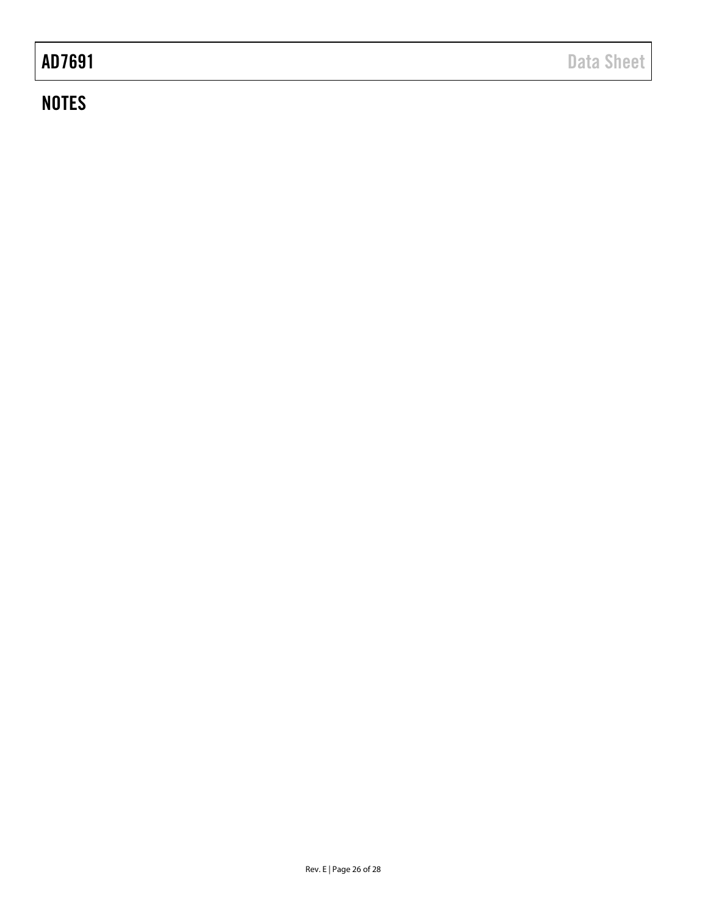# **NOTES**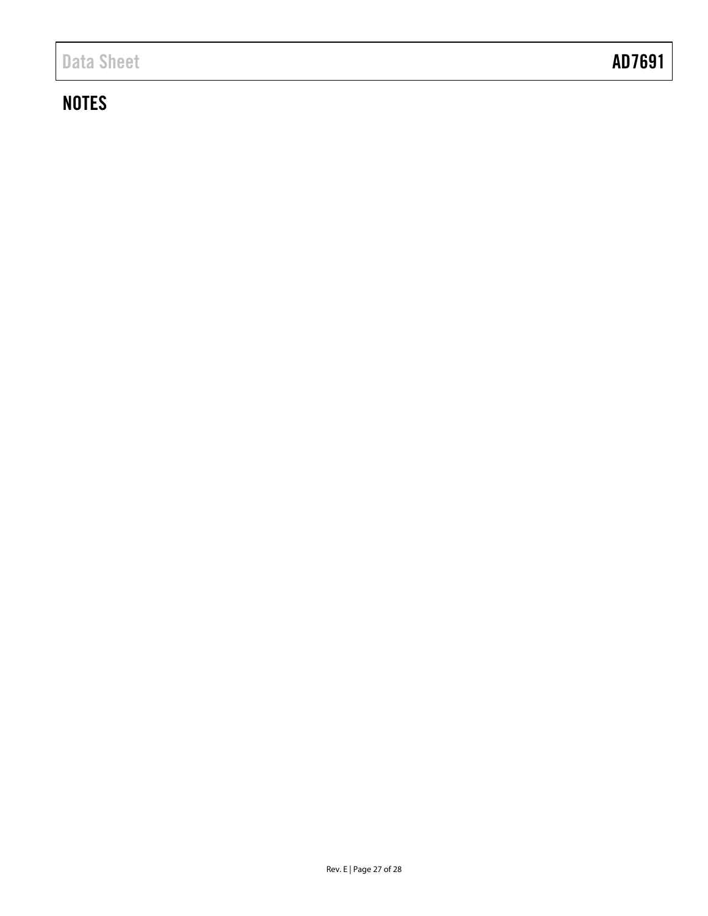# **NOTES**